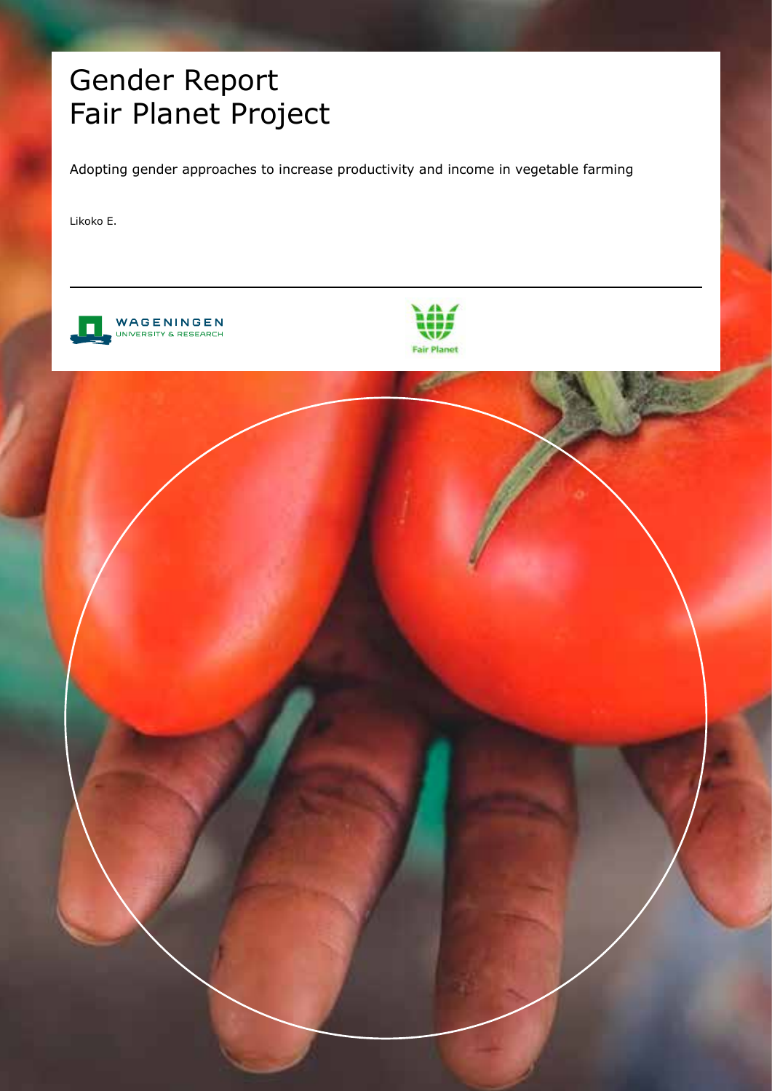## Gender Report Fair Planet Project

Adopting gender approaches to increase productivity and income in vegetable farming

Likoko E.



WAGENINGEN RSITY & RESEARCH



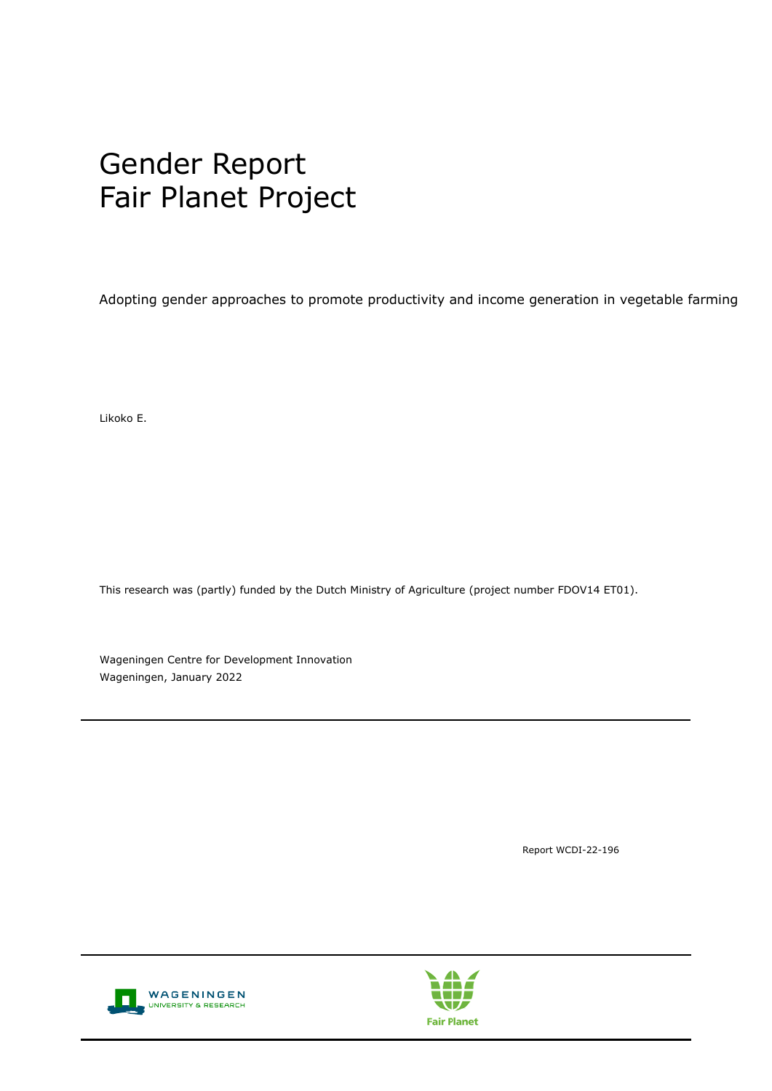## Gender Report Fair Planet Project

Adopting gender approaches to promote productivity and income generation in vegetable farming

Likoko E.

This research was (partly) funded by the Dutch Ministry of Agriculture (project number FDOV14 ET01).

Wageningen Centre for Development Innovation Wageningen, January 2022

Report WCDI-22-196



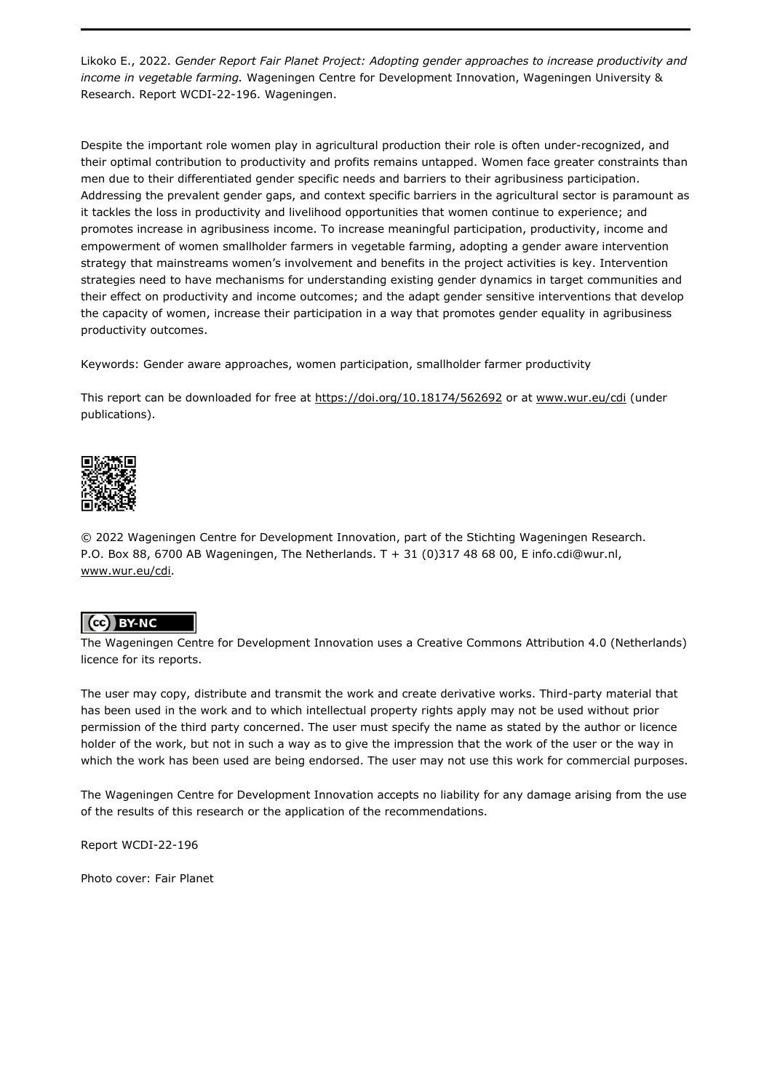Likoko E., 2022. *Gender Report Fair Planet Project: Adopting gender approaches to increase productivity and income in vegetable farming.* Wageningen Centre for Development Innovation, Wageningen University & Research. Report WCDI-22-196. Wageningen.

Despite the important role women play in agricultural production their role is often under-recognized, and their optimal contribution to productivity and profits remains untapped. Women face greater constraints than men due to their differentiated gender specific needs and barriers to their agribusiness participation. Addressing the prevalent gender gaps, and context specific barriers in the agricultural sector is paramount as it tackles the loss in productivity and livelihood opportunities that women continue to experience; and promotes increase in agribusiness income. To increase meaningful participation, productivity, income and empowerment of women smallholder farmers in vegetable farming, adopting a gender aware intervention strategy that mainstreams women's involvement and benefits in the project activities is key. Intervention strategies need to have mechanisms for understanding existing gender dynamics in target communities and their effect on productivity and income outcomes; and the adapt gender sensitive interventions that develop the capacity of women, increase their participation in a way that promotes gender equality in agribusiness productivity outcomes.

Keywords: Gender aware approaches, women participation, smallholder farmer productivity

This report can be downloaded for free at<https://doi.org/10.18174/562692> or at [www.wur.eu/cdi](http://www.wur.eu/cdi) (under publications).



© 2022 Wageningen Centre for Development Innovation, part of the Stichting Wageningen Research. P.O. Box 88, 6700 AB Wageningen, The Netherlands. T + 31 (0)317 48 68 00, E info.cdi@wur.nl, [www.wur.eu/cdi.](http://www.wur.eu/cdi)

#### (cc) BY-NC

The Wageningen Centre for Development Innovation uses a Creative Commons Attribution 4.0 (Netherlands) licence for its reports.

The user may copy, distribute and transmit the work and create derivative works. Third-party material that has been used in the work and to which intellectual property rights apply may not be used without prior permission of the third party concerned. The user must specify the name as stated by the author or licence holder of the work, but not in such a way as to give the impression that the work of the user or the way in which the work has been used are being endorsed. The user may not use this work for commercial purposes.

The Wageningen Centre for Development Innovation accepts no liability for any damage arising from the use of the results of this research or the application of the recommendations.

Report WCDI-22-196

Photo cover: Fair Planet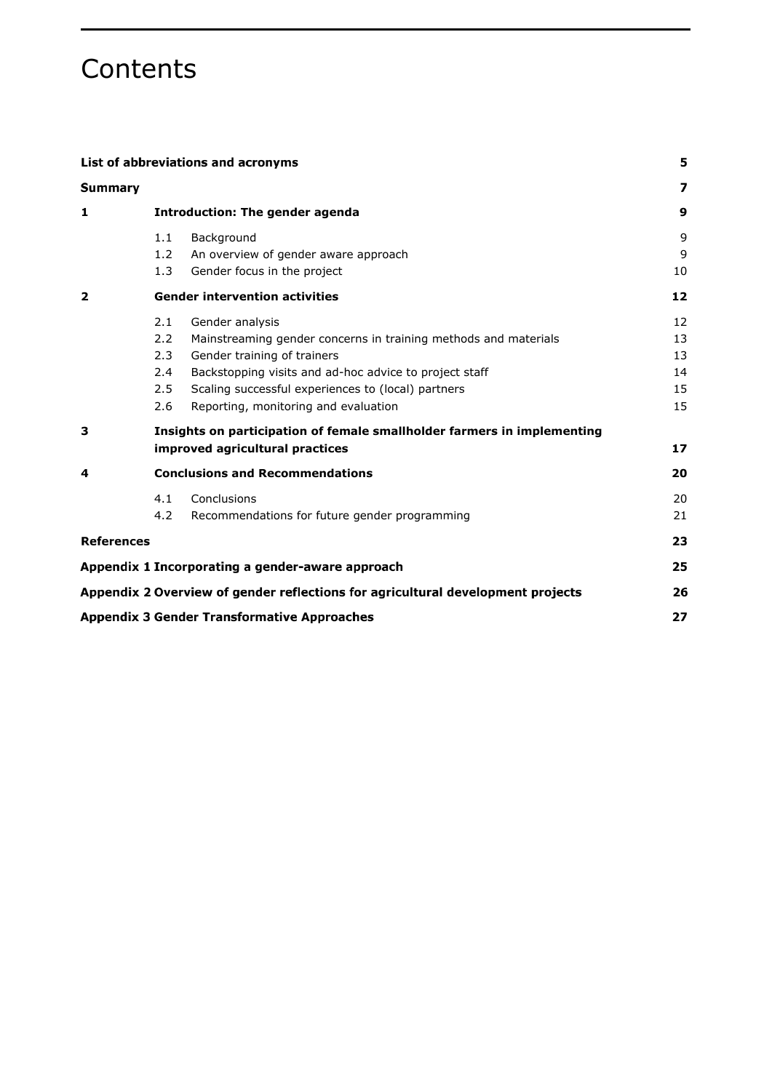### **Contents**

| List of abbreviations and acronyms<br>Summary |                                                                         |                                                                                 | 5  |
|-----------------------------------------------|-------------------------------------------------------------------------|---------------------------------------------------------------------------------|----|
|                                               |                                                                         |                                                                                 | 7  |
| 1                                             | <b>Introduction: The gender agenda</b>                                  |                                                                                 | 9  |
|                                               | 1.1                                                                     | Background                                                                      | 9  |
|                                               | 1.2                                                                     | An overview of gender aware approach                                            | 9  |
|                                               | 1.3                                                                     | Gender focus in the project                                                     | 10 |
| 2                                             | <b>Gender intervention activities</b>                                   |                                                                                 | 12 |
|                                               | 2.1                                                                     | Gender analysis                                                                 | 12 |
|                                               | 2.2                                                                     | Mainstreaming gender concerns in training methods and materials                 | 13 |
|                                               | 2.3                                                                     | Gender training of trainers                                                     | 13 |
|                                               | 2.4                                                                     | Backstopping visits and ad-hoc advice to project staff                          | 14 |
|                                               | 2.5                                                                     | Scaling successful experiences to (local) partners                              | 15 |
|                                               | 2.6                                                                     | Reporting, monitoring and evaluation                                            | 15 |
| 3                                             | Insights on participation of female smallholder farmers in implementing |                                                                                 |    |
|                                               |                                                                         | improved agricultural practices                                                 | 17 |
| 4                                             | <b>Conclusions and Recommendations</b>                                  |                                                                                 | 20 |
|                                               | 4.1                                                                     | Conclusions                                                                     | 20 |
|                                               | 4.2                                                                     | Recommendations for future gender programming                                   | 21 |
| <b>References</b>                             |                                                                         |                                                                                 | 23 |
|                                               |                                                                         | Appendix 1 Incorporating a gender-aware approach                                | 25 |
|                                               |                                                                         | Appendix 2 Overview of gender reflections for agricultural development projects | 26 |
|                                               |                                                                         | <b>Appendix 3 Gender Transformative Approaches</b>                              | 27 |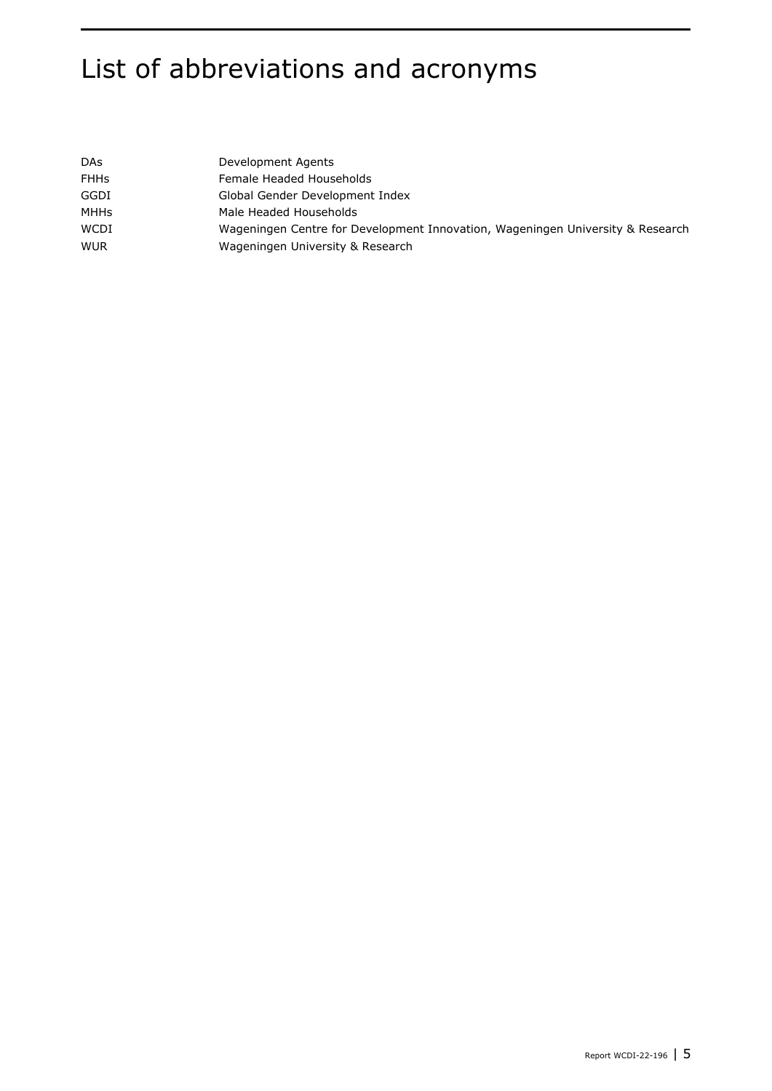## List of abbreviations and acronyms

| <b>DAs</b>  | Development Agents                                                             |
|-------------|--------------------------------------------------------------------------------|
| <b>FHHs</b> | Female Headed Households                                                       |
| GGDI        | Global Gender Development Index                                                |
| MHHs        | Male Headed Households                                                         |
| WCDI        | Wageningen Centre for Development Innovation, Wageningen University & Research |
| <b>WUR</b>  | Wageningen University & Research                                               |
|             |                                                                                |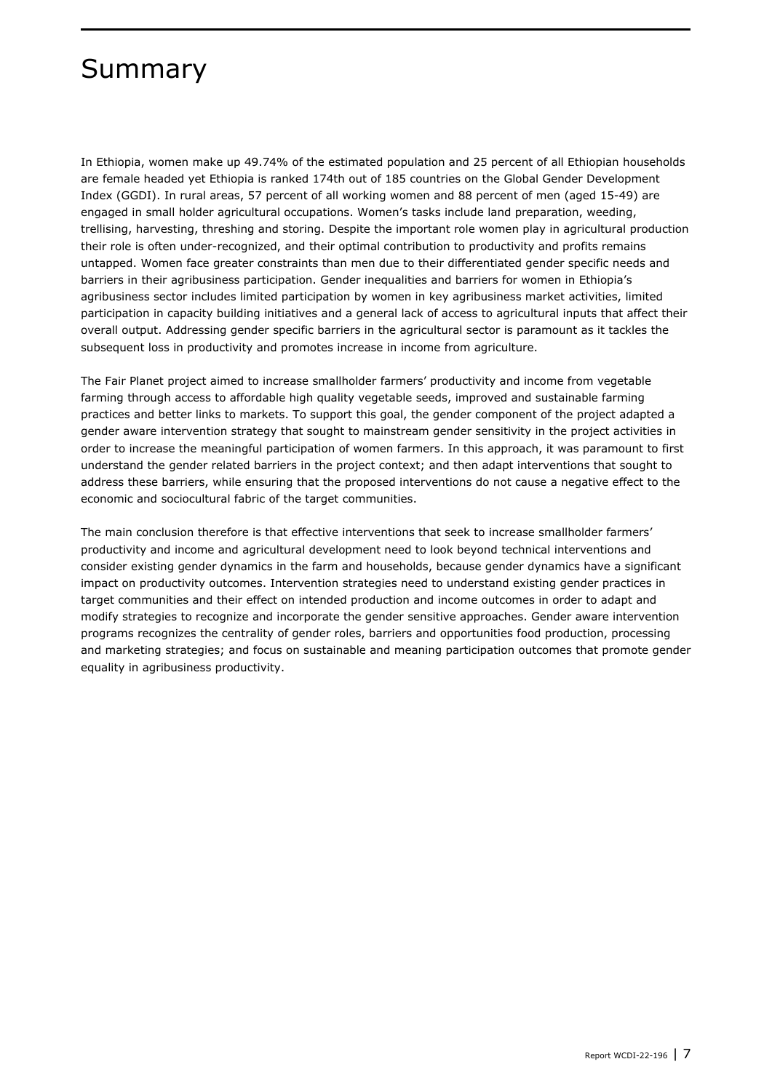### Summary

In Ethiopia, women make up 49.74% of the estimated population and 25 percent of all Ethiopian households are female headed yet Ethiopia is ranked 174th out of 185 countries on the Global Gender Development Index (GGDI). In rural areas, 57 percent of all working women and 88 percent of men (aged 15-49) are engaged in small holder agricultural occupations. Women's tasks include land preparation, weeding, trellising, harvesting, threshing and storing. Despite the important role women play in agricultural production their role is often under-recognized, and their optimal contribution to productivity and profits remains untapped. Women face greater constraints than men due to their differentiated gender specific needs and barriers in their agribusiness participation. Gender inequalities and barriers for women in Ethiopia's agribusiness sector includes limited participation by women in key agribusiness market activities, limited participation in capacity building initiatives and a general lack of access to agricultural inputs that affect their overall output. Addressing gender specific barriers in the agricultural sector is paramount as it tackles the subsequent loss in productivity and promotes increase in income from agriculture.

The Fair Planet project aimed to increase smallholder farmers' productivity and income from vegetable farming through access to affordable high quality vegetable seeds, improved and sustainable farming practices and better links to markets. To support this goal, the gender component of the project adapted a gender aware intervention strategy that sought to mainstream gender sensitivity in the project activities in order to increase the meaningful participation of women farmers. In this approach, it was paramount to first understand the gender related barriers in the project context; and then adapt interventions that sought to address these barriers, while ensuring that the proposed interventions do not cause a negative effect to the economic and sociocultural fabric of the target communities.

The main conclusion therefore is that effective interventions that seek to increase smallholder farmers' productivity and income and agricultural development need to look beyond technical interventions and consider existing gender dynamics in the farm and households, because gender dynamics have a significant impact on productivity outcomes. Intervention strategies need to understand existing gender practices in target communities and their effect on intended production and income outcomes in order to adapt and modify strategies to recognize and incorporate the gender sensitive approaches. Gender aware intervention programs recognizes the centrality of gender roles, barriers and opportunities food production, processing and marketing strategies; and focus on sustainable and meaning participation outcomes that promote gender equality in agribusiness productivity.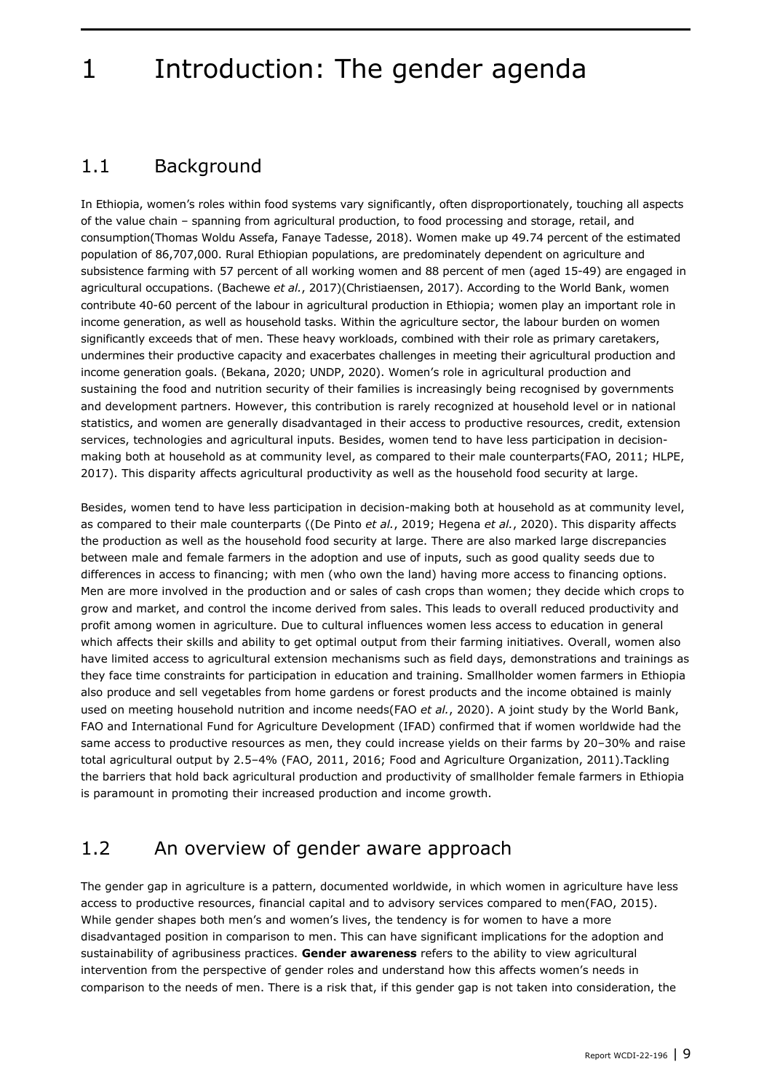### <span id="page-10-0"></span>1 Introduction: The gender agenda

### <span id="page-10-1"></span>1.1 Background

In Ethiopia, women's roles within food systems vary significantly, often disproportionately, touching all aspects of the value chain – spanning from agricultural production, to food processing and storage, retail, and consumption(Thomas Woldu Assefa, Fanaye Tadesse, 2018). Women make up 49.74 percent of the estimated population of 86,707,000. Rural Ethiopian populations, are predominately dependent on agriculture and subsistence farming with 57 percent of all working women and 88 percent of men (aged 15-49) are engaged in agricultural occupations. (Bachewe *et al.*, 2017)(Christiaensen, 2017). According to the World Bank, women contribute 40-60 percent of the labour in agricultural production in Ethiopia; women play an important role in income generation, as well as household tasks. Within the agriculture sector, the labour burden on women significantly exceeds that of men. These heavy workloads, combined with their role as primary caretakers, undermines their productive capacity and exacerbates challenges in meeting their agricultural production and income generation goals. (Bekana, 2020; UNDP, 2020). Women's role in agricultural production and sustaining the food and nutrition security of their families is increasingly being recognised by governments and development partners. However, this contribution is rarely recognized at household level or in national statistics, and women are generally disadvantaged in their access to productive resources, credit, extension services, technologies and agricultural inputs. Besides, women tend to have less participation in decisionmaking both at household as at community level, as compared to their male counterparts(FAO, 2011; HLPE, 2017). This disparity affects agricultural productivity as well as the household food security at large.

Besides, women tend to have less participation in decision-making both at household as at community level, as compared to their male counterparts ((De Pinto *et al.*, 2019; Hegena *et al.*, 2020). This disparity affects the production as well as the household food security at large. There are also marked large discrepancies between male and female farmers in the adoption and use of inputs, such as good quality seeds due to differences in access to financing; with men (who own the land) having more access to financing options. Men are more involved in the production and or sales of cash crops than women; they decide which crops to grow and market, and control the income derived from sales. This leads to overall reduced productivity and profit among women in agriculture. Due to cultural influences women less access to education in general which affects their skills and ability to get optimal output from their farming initiatives. Overall, women also have limited access to agricultural extension mechanisms such as field days, demonstrations and trainings as they face time constraints for participation in education and training. Smallholder women farmers in Ethiopia also produce and sell vegetables from home gardens or forest products and the income obtained is mainly used on meeting household nutrition and income needs(FAO *et al.*, 2020). A joint study by the World Bank, FAO and International Fund for Agriculture Development (IFAD) confirmed that if women worldwide had the same access to productive resources as men, they could increase yields on their farms by 20-30% and raise total agricultural output by 2.5–4% (FAO, 2011, 2016; Food and Agriculture Organization, 2011).Tackling the barriers that hold back agricultural production and productivity of smallholder female farmers in Ethiopia is paramount in promoting their increased production and income growth.

#### <span id="page-10-2"></span>1.2 An overview of gender aware approach

The gender gap in agriculture is a pattern, documented worldwide, in which women in agriculture have less access to productive resources, financial capital and to advisory services compared to men(FAO, 2015). While gender shapes both men's and women's lives, the tendency is for women to have a more disadvantaged position in comparison to men. This can have significant implications for the adoption and sustainability of agribusiness practices. **Gender awareness** refers to the ability to view agricultural intervention from the perspective of gender roles and understand how this affects women's needs in comparison to the needs of men. There is a risk that, if this gender gap is not taken into consideration, the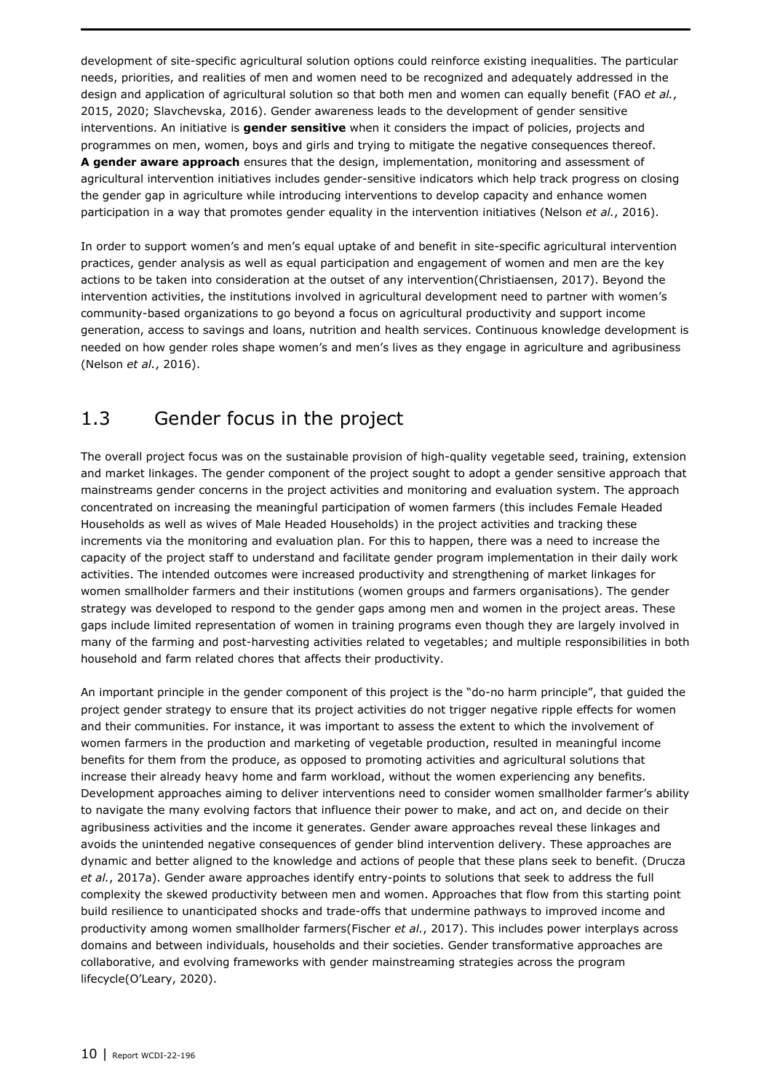development of site-specific agricultural solution options could reinforce existing inequalities. The particular needs, priorities, and realities of men and women need to be recognized and adequately addressed in the design and application of agricultural solution so that both men and women can equally benefit (FAO *et al.*, 2015, 2020; Slavchevska, 2016). Gender awareness leads to the development of gender sensitive interventions. An initiative is **gender sensitive** when it considers the impact of policies, projects and programmes on men, women, boys and girls and trying to mitigate the negative consequences thereof. **A gender aware approach** ensures that the design, implementation, monitoring and assessment of agricultural intervention initiatives includes gender-sensitive indicators which help track progress on closing the gender gap in agriculture while introducing interventions to develop capacity and enhance women participation in a way that promotes gender equality in the intervention initiatives (Nelson *et al.*, 2016).

In order to support women's and men's equal uptake of and benefit in site-specific agricultural intervention practices, gender analysis as well as equal participation and engagement of women and men are the key actions to be taken into consideration at the outset of any intervention(Christiaensen, 2017). Beyond the intervention activities, the institutions involved in agricultural development need to partner with women's community-based organizations to go beyond a focus on agricultural productivity and support income generation, access to savings and loans, nutrition and health services. Continuous knowledge development is needed on how gender roles shape women's and men's lives as they engage in agriculture and agribusiness (Nelson *et al.*, 2016).

### <span id="page-11-0"></span>1.3 Gender focus in the project

The overall project focus was on the sustainable provision of high-quality vegetable seed, training, extension and market linkages. The gender component of the project sought to adopt a gender sensitive approach that mainstreams gender concerns in the project activities and monitoring and evaluation system. The approach concentrated on increasing the meaningful participation of women farmers (this includes Female Headed Households as well as wives of Male Headed Households) in the project activities and tracking these increments via the monitoring and evaluation plan. For this to happen, there was a need to increase the capacity of the project staff to understand and facilitate gender program implementation in their daily work activities. The intended outcomes were increased productivity and strengthening of market linkages for women smallholder farmers and their institutions (women groups and farmers organisations). The gender strategy was developed to respond to the gender gaps among men and women in the project areas. These gaps include limited representation of women in training programs even though they are largely involved in many of the farming and post-harvesting activities related to vegetables; and multiple responsibilities in both household and farm related chores that affects their productivity.

An important principle in the gender component of this project is the "do-no harm principle", that guided the project gender strategy to ensure that its project activities do not trigger negative ripple effects for women and their communities. For instance, it was important to assess the extent to which the involvement of women farmers in the production and marketing of vegetable production, resulted in meaningful income benefits for them from the produce, as opposed to promoting activities and agricultural solutions that increase their already heavy home and farm workload, without the women experiencing any benefits. Development approaches aiming to deliver interventions need to consider women smallholder farmer's ability to navigate the many evolving factors that influence their power to make, and act on, and decide on their agribusiness activities and the income it generates. Gender aware approaches reveal these linkages and avoids the unintended negative consequences of gender blind intervention delivery. These approaches are dynamic and better aligned to the knowledge and actions of people that these plans seek to benefit. (Drucza *et al.*, 2017a). Gender aware approaches identify entry-points to solutions that seek to address the full complexity the skewed productivity between men and women. Approaches that flow from this starting point build resilience to unanticipated shocks and trade-offs that undermine pathways to improved income and productivity among women smallholder farmers(Fischer *et al.*, 2017). This includes power interplays across domains and between individuals, households and their societies. Gender transformative approaches are collaborative, and evolving frameworks with gender mainstreaming strategies across the program lifecycle(O'Leary, 2020).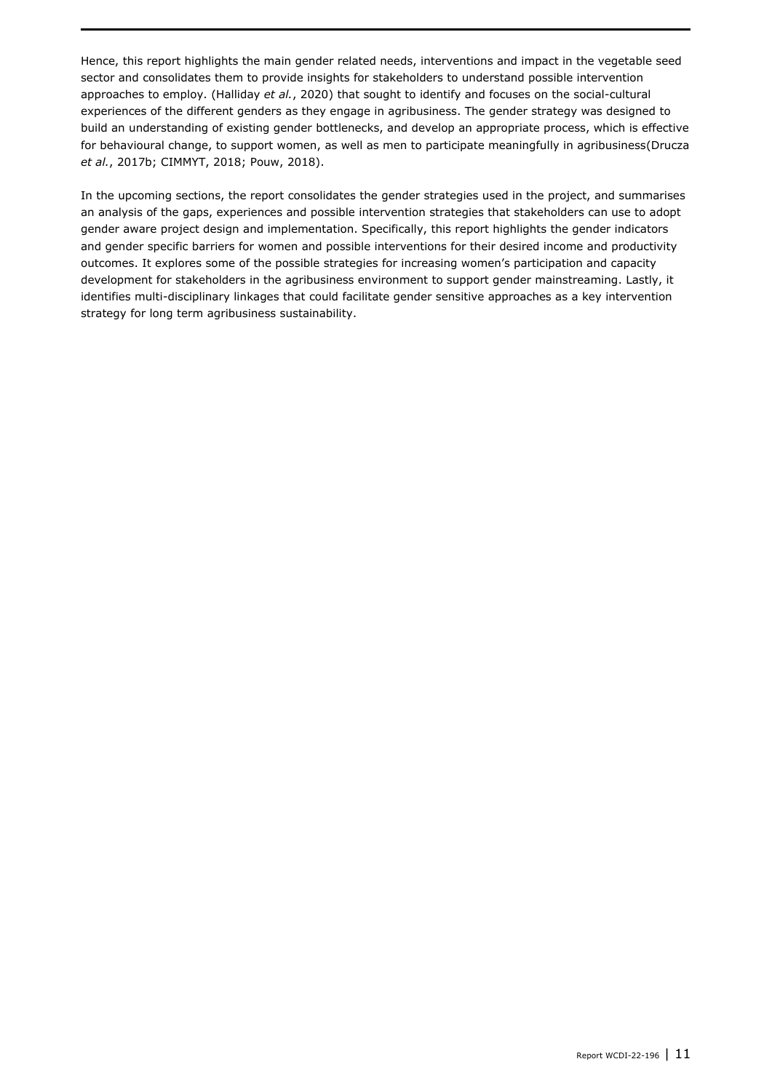Hence, this report highlights the main gender related needs, interventions and impact in the vegetable seed sector and consolidates them to provide insights for stakeholders to understand possible intervention approaches to employ. (Halliday *et al.*, 2020) that sought to identify and focuses on the social-cultural experiences of the different genders as they engage in agribusiness. The gender strategy was designed to build an understanding of existing gender bottlenecks, and develop an appropriate process, which is effective for behavioural change, to support women, as well as men to participate meaningfully in agribusiness(Drucza *et al.*, 2017b; CIMMYT, 2018; Pouw, 2018).

In the upcoming sections, the report consolidates the gender strategies used in the project, and summarises an analysis of the gaps, experiences and possible intervention strategies that stakeholders can use to adopt gender aware project design and implementation. Specifically, this report highlights the gender indicators and gender specific barriers for women and possible interventions for their desired income and productivity outcomes. It explores some of the possible strategies for increasing women's participation and capacity development for stakeholders in the agribusiness environment to support gender mainstreaming. Lastly, it identifies multi-disciplinary linkages that could facilitate gender sensitive approaches as a key intervention strategy for long term agribusiness sustainability.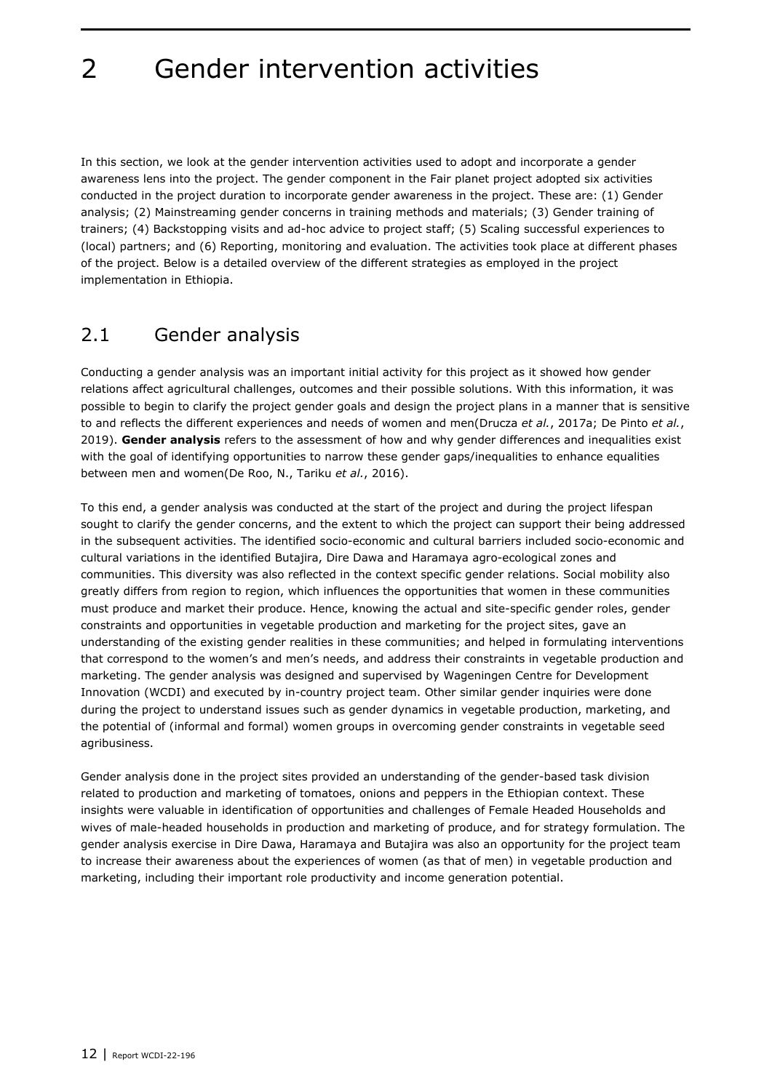### <span id="page-13-0"></span>2 Gender intervention activities

In this section, we look at the gender intervention activities used to adopt and incorporate a gender awareness lens into the project. The gender component in the Fair planet project adopted six activities conducted in the project duration to incorporate gender awareness in the project. These are: (1) Gender analysis; (2) Mainstreaming gender concerns in training methods and materials; (3) Gender training of trainers; (4) Backstopping visits and ad-hoc advice to project staff; (5) Scaling successful experiences to (local) partners; and (6) Reporting, monitoring and evaluation. The activities took place at different phases of the project. Below is a detailed overview of the different strategies as employed in the project implementation in Ethiopia.

#### <span id="page-13-1"></span>2.1 Gender analysis

Conducting a gender analysis was an important initial activity for this project as it showed how gender relations affect agricultural challenges, outcomes and their possible solutions. With this information, it was possible to begin to clarify the project gender goals and design the project plans in a manner that is sensitive to and reflects the different experiences and needs of women and men(Drucza *et al.*, 2017a; De Pinto *et al.*, 2019). **Gender analysis** refers to the assessment of how and why gender differences and inequalities exist with the goal of identifying opportunities to narrow these gender gaps/inequalities to enhance equalities between men and women(De Roo, N., Tariku *et al.*, 2016).

To this end, a gender analysis was conducted at the start of the project and during the project lifespan sought to clarify the gender concerns, and the extent to which the project can support their being addressed in the subsequent activities. The identified socio-economic and cultural barriers included socio-economic and cultural variations in the identified Butajira, Dire Dawa and Haramaya agro-ecological zones and communities. This diversity was also reflected in the context specific gender relations. Social mobility also greatly differs from region to region, which influences the opportunities that women in these communities must produce and market their produce. Hence, knowing the actual and site-specific gender roles, gender constraints and opportunities in vegetable production and marketing for the project sites, gave an understanding of the existing gender realities in these communities; and helped in formulating interventions that correspond to the women's and men's needs, and address their constraints in vegetable production and marketing. The gender analysis was designed and supervised by Wageningen Centre for Development Innovation (WCDI) and executed by in-country project team. Other similar gender inquiries were done during the project to understand issues such as gender dynamics in vegetable production, marketing, and the potential of (informal and formal) women groups in overcoming gender constraints in vegetable seed agribusiness.

Gender analysis done in the project sites provided an understanding of the gender-based task division related to production and marketing of tomatoes, onions and peppers in the Ethiopian context. These insights were valuable in identification of opportunities and challenges of Female Headed Households and wives of male-headed households in production and marketing of produce, and for strategy formulation. The gender analysis exercise in Dire Dawa, Haramaya and Butajira was also an opportunity for the project team to increase their awareness about the experiences of women (as that of men) in vegetable production and marketing, including their important role productivity and income generation potential.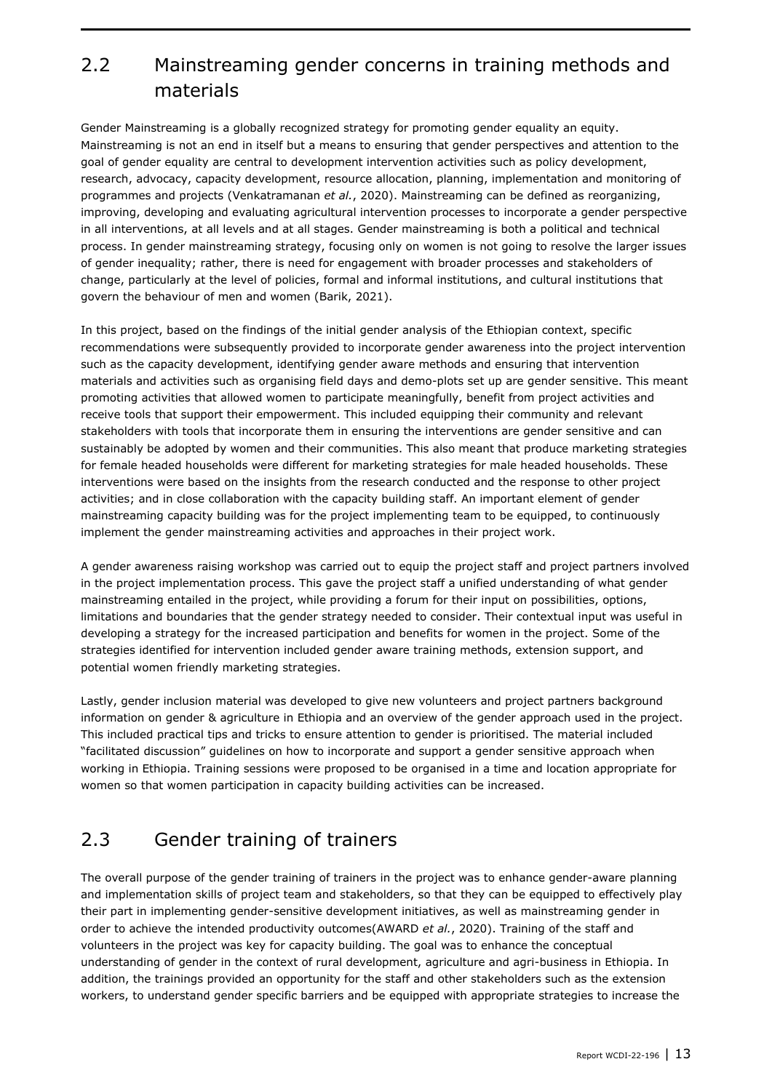### <span id="page-14-0"></span>2.2 Mainstreaming gender concerns in training methods and materials

Gender Mainstreaming is a globally recognized strategy for promoting gender equality an equity. Mainstreaming is not an end in itself but a means to ensuring that gender perspectives and attention to the goal of gender equality are central to development intervention activities such as policy development, research, advocacy, capacity development, resource allocation, planning, implementation and monitoring of programmes and projects (Venkatramanan *et al.*, 2020). Mainstreaming can be defined as reorganizing, improving, developing and evaluating agricultural intervention processes to incorporate a gender perspective in all interventions, at all levels and at all stages. Gender mainstreaming is both a political and technical process. In gender mainstreaming strategy, focusing only on women is not going to resolve the larger issues of gender inequality; rather, there is need for engagement with broader processes and stakeholders of change, particularly at the level of policies, formal and informal institutions, and cultural institutions that govern the behaviour of men and women (Barik, 2021).

In this project, based on the findings of the initial gender analysis of the Ethiopian context, specific recommendations were subsequently provided to incorporate gender awareness into the project intervention such as the capacity development, identifying gender aware methods and ensuring that intervention materials and activities such as organising field days and demo-plots set up are gender sensitive. This meant promoting activities that allowed women to participate meaningfully, benefit from project activities and receive tools that support their empowerment. This included equipping their community and relevant stakeholders with tools that incorporate them in ensuring the interventions are gender sensitive and can sustainably be adopted by women and their communities. This also meant that produce marketing strategies for female headed households were different for marketing strategies for male headed households. These interventions were based on the insights from the research conducted and the response to other project activities; and in close collaboration with the capacity building staff. An important element of gender mainstreaming capacity building was for the project implementing team to be equipped, to continuously implement the gender mainstreaming activities and approaches in their project work.

A gender awareness raising workshop was carried out to equip the project staff and project partners involved in the project implementation process. This gave the project staff a unified understanding of what gender mainstreaming entailed in the project, while providing a forum for their input on possibilities, options, limitations and boundaries that the gender strategy needed to consider. Their contextual input was useful in developing a strategy for the increased participation and benefits for women in the project. Some of the strategies identified for intervention included gender aware training methods, extension support, and potential women friendly marketing strategies.

Lastly, gender inclusion material was developed to give new volunteers and project partners background information on gender & agriculture in Ethiopia and an overview of the gender approach used in the project. This included practical tips and tricks to ensure attention to gender is prioritised. The material included "facilitated discussion" guidelines on how to incorporate and support a gender sensitive approach when working in Ethiopia. Training sessions were proposed to be organised in a time and location appropriate for women so that women participation in capacity building activities can be increased.

### <span id="page-14-1"></span>2.3 Gender training of trainers

The overall purpose of the gender training of trainers in the project was to enhance gender-aware planning and implementation skills of project team and stakeholders, so that they can be equipped to effectively play their part in implementing gender-sensitive development initiatives, as well as mainstreaming gender in order to achieve the intended productivity outcomes(AWARD *et al.*, 2020). Training of the staff and volunteers in the project was key for capacity building. The goal was to enhance the conceptual understanding of gender in the context of rural development, agriculture and agri-business in Ethiopia. In addition, the trainings provided an opportunity for the staff and other stakeholders such as the extension workers, to understand gender specific barriers and be equipped with appropriate strategies to increase the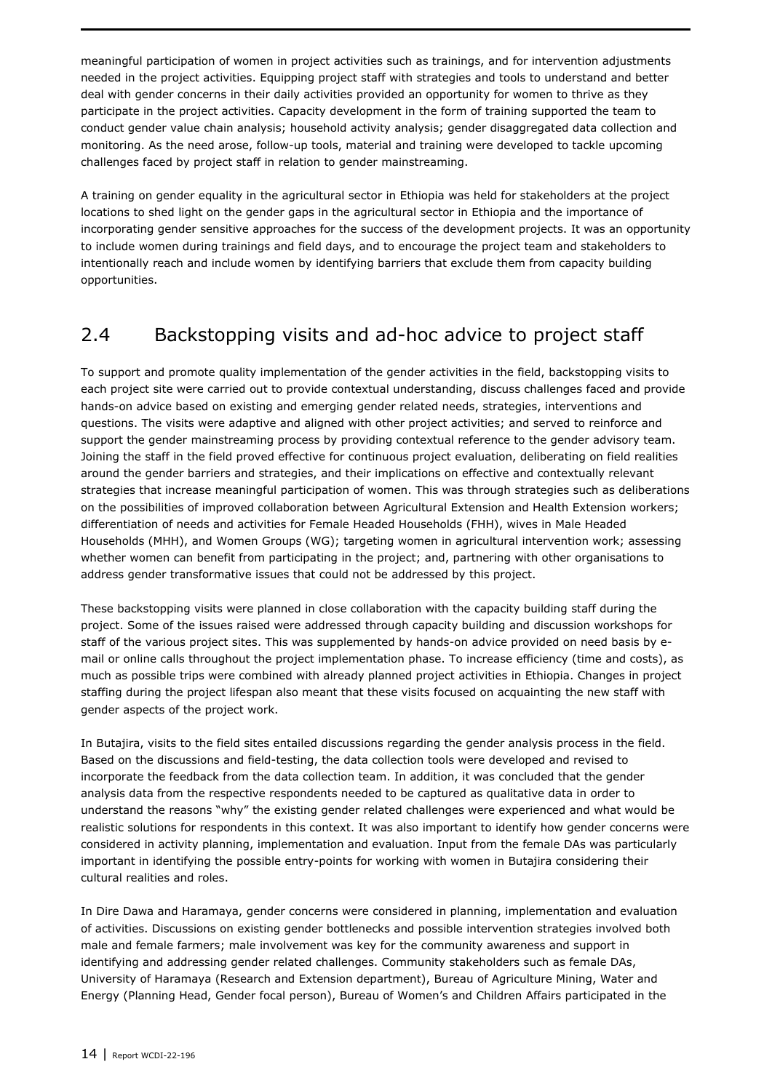meaningful participation of women in project activities such as trainings, and for intervention adjustments needed in the project activities. Equipping project staff with strategies and tools to understand and better deal with gender concerns in their daily activities provided an opportunity for women to thrive as they participate in the project activities. Capacity development in the form of training supported the team to conduct gender value chain analysis; household activity analysis; gender disaggregated data collection and monitoring. As the need arose, follow-up tools, material and training were developed to tackle upcoming challenges faced by project staff in relation to gender mainstreaming.

A training on gender equality in the agricultural sector in Ethiopia was held for stakeholders at the project locations to shed light on the gender gaps in the agricultural sector in Ethiopia and the importance of incorporating gender sensitive approaches for the success of the development projects. It was an opportunity to include women during trainings and field days, and to encourage the project team and stakeholders to intentionally reach and include women by identifying barriers that exclude them from capacity building opportunities.

### <span id="page-15-0"></span>2.4 Backstopping visits and ad-hoc advice to project staff

To support and promote quality implementation of the gender activities in the field, backstopping visits to each project site were carried out to provide contextual understanding, discuss challenges faced and provide hands-on advice based on existing and emerging gender related needs, strategies, interventions and questions. The visits were adaptive and aligned with other project activities; and served to reinforce and support the gender mainstreaming process by providing contextual reference to the gender advisory team. Joining the staff in the field proved effective for continuous project evaluation, deliberating on field realities around the gender barriers and strategies, and their implications on effective and contextually relevant strategies that increase meaningful participation of women. This was through strategies such as deliberations on the possibilities of improved collaboration between Agricultural Extension and Health Extension workers; differentiation of needs and activities for Female Headed Households (FHH), wives in Male Headed Households (MHH), and Women Groups (WG); targeting women in agricultural intervention work; assessing whether women can benefit from participating in the project; and, partnering with other organisations to address gender transformative issues that could not be addressed by this project.

These backstopping visits were planned in close collaboration with the capacity building staff during the project. Some of the issues raised were addressed through capacity building and discussion workshops for staff of the various project sites. This was supplemented by hands-on advice provided on need basis by email or online calls throughout the project implementation phase. To increase efficiency (time and costs), as much as possible trips were combined with already planned project activities in Ethiopia. Changes in project staffing during the project lifespan also meant that these visits focused on acquainting the new staff with gender aspects of the project work.

In Butajira, visits to the field sites entailed discussions regarding the gender analysis process in the field. Based on the discussions and field-testing, the data collection tools were developed and revised to incorporate the feedback from the data collection team. In addition, it was concluded that the gender analysis data from the respective respondents needed to be captured as qualitative data in order to understand the reasons "why" the existing gender related challenges were experienced and what would be realistic solutions for respondents in this context. It was also important to identify how gender concerns were considered in activity planning, implementation and evaluation. Input from the female DAs was particularly important in identifying the possible entry-points for working with women in Butajira considering their cultural realities and roles.

In Dire Dawa and Haramaya, gender concerns were considered in planning, implementation and evaluation of activities. Discussions on existing gender bottlenecks and possible intervention strategies involved both male and female farmers; male involvement was key for the community awareness and support in identifying and addressing gender related challenges. Community stakeholders such as female DAs, University of Haramaya (Research and Extension department), Bureau of Agriculture Mining, Water and Energy (Planning Head, Gender focal person), Bureau of Women's and Children Affairs participated in the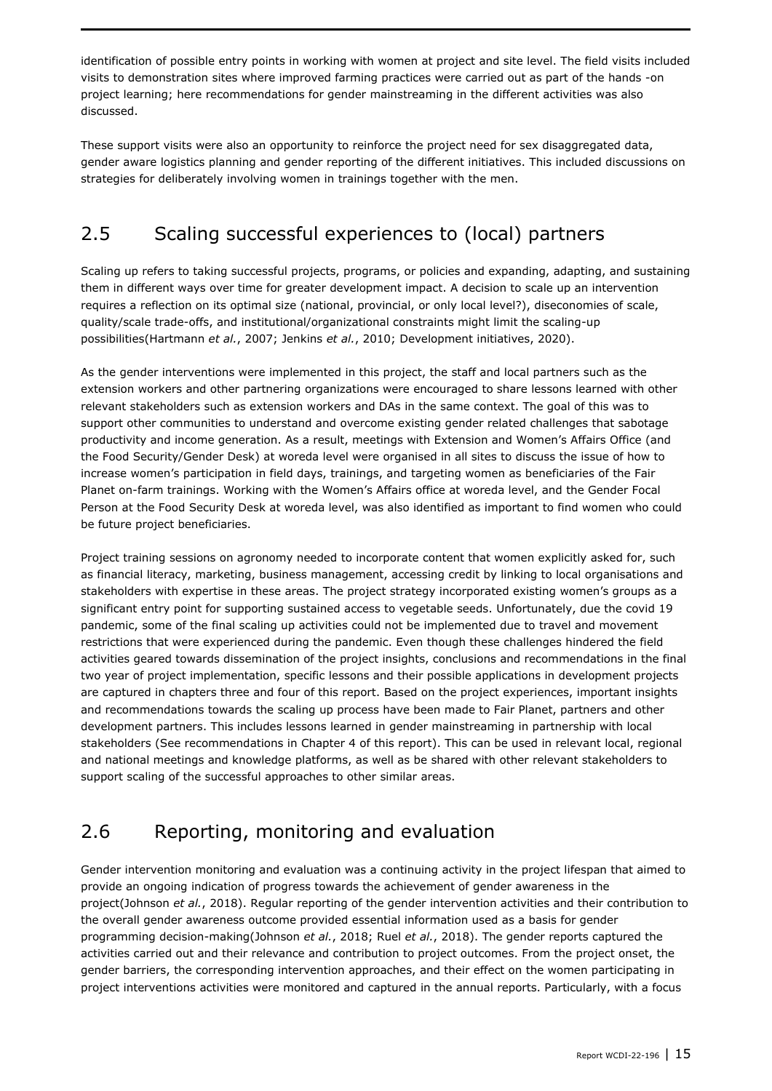identification of possible entry points in working with women at project and site level. The field visits included visits to demonstration sites where improved farming practices were carried out as part of the hands -on project learning; here recommendations for gender mainstreaming in the different activities was also discussed.

These support visits were also an opportunity to reinforce the project need for sex disaggregated data, gender aware logistics planning and gender reporting of the different initiatives. This included discussions on strategies for deliberately involving women in trainings together with the men.

### <span id="page-16-0"></span>2.5 Scaling successful experiences to (local) partners

Scaling up refers to taking successful projects, programs, or policies and expanding, adapting, and sustaining them in different ways over time for greater development impact. A decision to scale up an intervention requires a reflection on its optimal size (national, provincial, or only local level?), diseconomies of scale, quality/scale trade-offs, and institutional/organizational constraints might limit the scaling-up possibilities(Hartmann *et al.*, 2007; Jenkins *et al.*, 2010; Development initiatives, 2020).

As the gender interventions were implemented in this project, the staff and local partners such as the extension workers and other partnering organizations were encouraged to share lessons learned with other relevant stakeholders such as extension workers and DAs in the same context. The goal of this was to support other communities to understand and overcome existing gender related challenges that sabotage productivity and income generation. As a result, meetings with Extension and Women's Affairs Office (and the Food Security/Gender Desk) at woreda level were organised in all sites to discuss the issue of how to increase women's participation in field days, trainings, and targeting women as beneficiaries of the Fair Planet on-farm trainings. Working with the Women's Affairs office at woreda level, and the Gender Focal Person at the Food Security Desk at woreda level, was also identified as important to find women who could be future project beneficiaries.

Project training sessions on agronomy needed to incorporate content that women explicitly asked for, such as financial literacy, marketing, business management, accessing credit by linking to local organisations and stakeholders with expertise in these areas. The project strategy incorporated existing women's groups as a significant entry point for supporting sustained access to vegetable seeds. Unfortunately, due the covid 19 pandemic, some of the final scaling up activities could not be implemented due to travel and movement restrictions that were experienced during the pandemic. Even though these challenges hindered the field activities geared towards dissemination of the project insights, conclusions and recommendations in the final two year of project implementation, specific lessons and their possible applications in development projects are captured in chapters three and four of this report. Based on the project experiences, important insights and recommendations towards the scaling up process have been made to Fair Planet, partners and other development partners. This includes lessons learned in gender mainstreaming in partnership with local stakeholders (See recommendations in Chapter 4 of this report). This can be used in relevant local, regional and national meetings and knowledge platforms, as well as be shared with other relevant stakeholders to support scaling of the successful approaches to other similar areas.

### <span id="page-16-1"></span>2.6 Reporting, monitoring and evaluation

Gender intervention monitoring and evaluation was a continuing activity in the project lifespan that aimed to provide an ongoing indication of progress towards the achievement of gender awareness in the project(Johnson *et al.*, 2018). Regular reporting of the gender intervention activities and their contribution to the overall gender awareness outcome provided essential information used as a basis for gender programming decision-making(Johnson *et al.*, 2018; Ruel *et al.*, 2018). The gender reports captured the activities carried out and their relevance and contribution to project outcomes. From the project onset, the gender barriers, the corresponding intervention approaches, and their effect on the women participating in project interventions activities were monitored and captured in the annual reports. Particularly, with a focus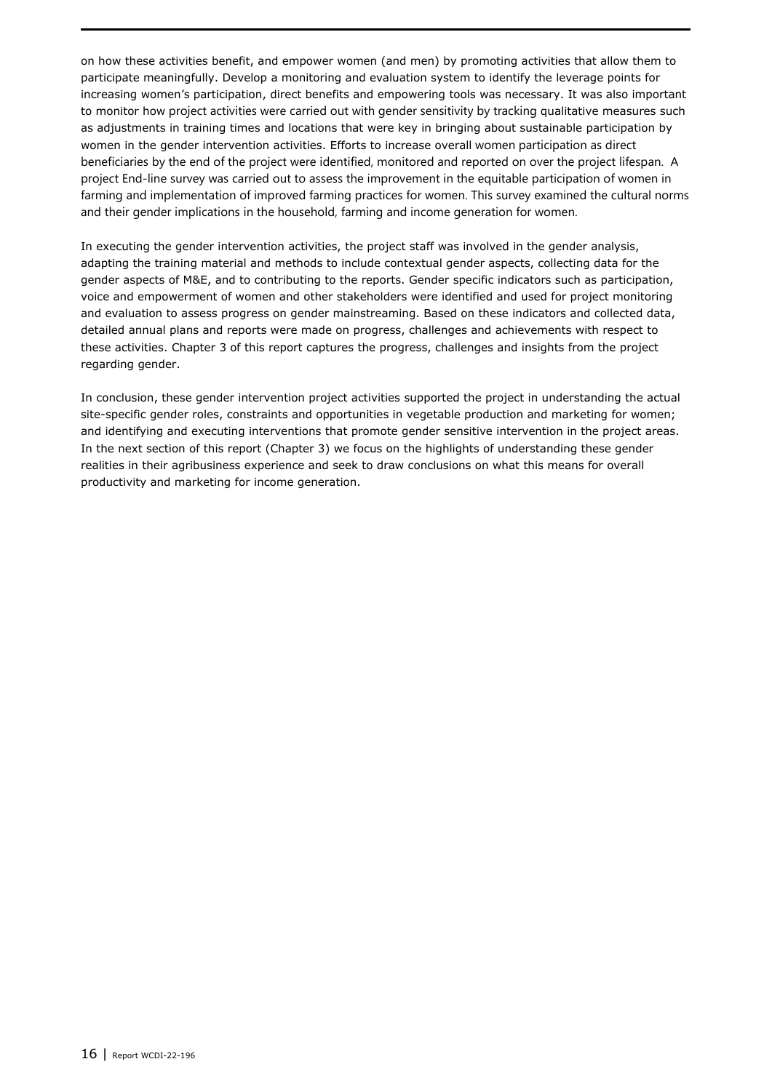on how these activities benefit, and empower women (and men) by promoting activities that allow them to participate meaningfully. Develop a monitoring and evaluation system to identify the leverage points for increasing women's participation, direct benefits and empowering tools was necessary. It was also important to monitor how project activities were carried out with gender sensitivity by tracking qualitative measures such as adjustments in training times and locations that were key in bringing about sustainable participation by women in the gender intervention activities. Efforts to increase overall women participation as direct beneficiaries by the end of the project were identified, monitored and reported on over the project lifespan. A project End-line survey was carried out to assess the improvement in the equitable participation of women in farming and implementation of improved farming practices for women. This survey examined the cultural norms and their gender implications in the household, farming and income generation for women.

In executing the gender intervention activities, the project staff was involved in the gender analysis, adapting the training material and methods to include contextual gender aspects, collecting data for the gender aspects of M&E, and to contributing to the reports. Gender specific indicators such as participation, voice and empowerment of women and other stakeholders were identified and used for project monitoring and evaluation to assess progress on gender mainstreaming. Based on these indicators and collected data, detailed annual plans and reports were made on progress, challenges and achievements with respect to these activities. Chapter 3 of this report captures the progress, challenges and insights from the project regarding gender.

In conclusion, these gender intervention project activities supported the project in understanding the actual site-specific gender roles, constraints and opportunities in vegetable production and marketing for women; and identifying and executing interventions that promote gender sensitive intervention in the project areas. In the next section of this report (Chapter 3) we focus on the highlights of understanding these gender realities in their agribusiness experience and seek to draw conclusions on what this means for overall productivity and marketing for income generation.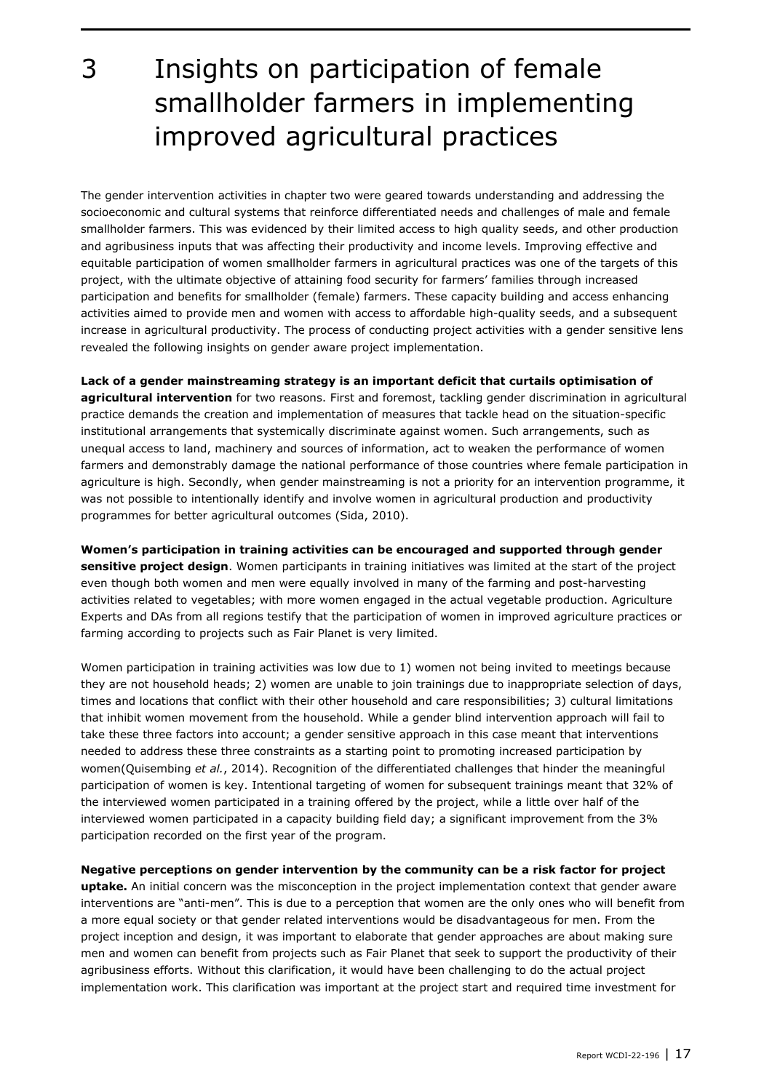<span id="page-18-0"></span>3 Insights on participation of female smallholder farmers in implementing improved agricultural practices

The gender intervention activities in chapter two were geared towards understanding and addressing the socioeconomic and cultural systems that reinforce differentiated needs and challenges of male and female smallholder farmers. This was evidenced by their limited access to high quality seeds, and other production and agribusiness inputs that was affecting their productivity and income levels. Improving effective and equitable participation of women smallholder farmers in agricultural practices was one of the targets of this project, with the ultimate objective of attaining food security for farmers' families through increased participation and benefits for smallholder (female) farmers. These capacity building and access enhancing activities aimed to provide men and women with access to affordable high-quality seeds, and a subsequent increase in agricultural productivity. The process of conducting project activities with a gender sensitive lens revealed the following insights on gender aware project implementation.

**Lack of a gender mainstreaming strategy is an important deficit that curtails optimisation of agricultural intervention** for two reasons. First and foremost, tackling gender discrimination in agricultural practice demands the creation and implementation of measures that tackle head on the situation-specific institutional arrangements that systemically discriminate against women. Such arrangements, such as unequal access to land, machinery and sources of information, act to weaken the performance of women farmers and demonstrably damage the national performance of those countries where female participation in agriculture is high. Secondly, when gender mainstreaming is not a priority for an intervention programme, it was not possible to intentionally identify and involve women in agricultural production and productivity programmes for better agricultural outcomes (Sida, 2010).

**Women's participation in training activities can be encouraged and supported through gender sensitive project design**. Women participants in training initiatives was limited at the start of the project even though both women and men were equally involved in many of the farming and post-harvesting activities related to vegetables; with more women engaged in the actual vegetable production. Agriculture Experts and DAs from all regions testify that the participation of women in improved agriculture practices or farming according to projects such as Fair Planet is very limited.

Women participation in training activities was low due to 1) women not being invited to meetings because they are not household heads; 2) women are unable to join trainings due to inappropriate selection of days, times and locations that conflict with their other household and care responsibilities; 3) cultural limitations that inhibit women movement from the household. While a gender blind intervention approach will fail to take these three factors into account; a gender sensitive approach in this case meant that interventions needed to address these three constraints as a starting point to promoting increased participation by women(Quisembing *et al.*, 2014). Recognition of the differentiated challenges that hinder the meaningful participation of women is key. Intentional targeting of women for subsequent trainings meant that 32% of the interviewed women participated in a training offered by the project, while a little over half of the interviewed women participated in a capacity building field day; a significant improvement from the 3% participation recorded on the first year of the program.

**Negative perceptions on gender intervention by the community can be a risk factor for project uptake.** An initial concern was the misconception in the project implementation context that gender aware interventions are "anti-men". This is due to a perception that women are the only ones who will benefit from a more equal society or that gender related interventions would be disadvantageous for men. From the project inception and design, it was important to elaborate that gender approaches are about making sure men and women can benefit from projects such as Fair Planet that seek to support the productivity of their agribusiness efforts. Without this clarification, it would have been challenging to do the actual project implementation work. This clarification was important at the project start and required time investment for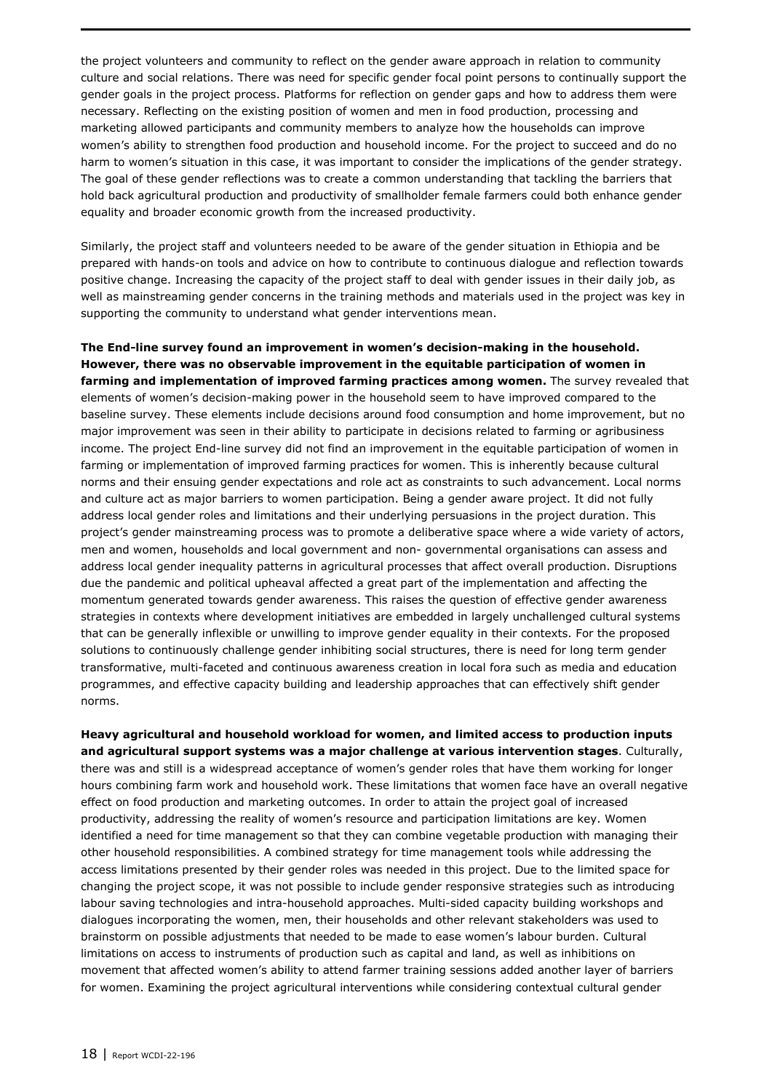the project volunteers and community to reflect on the gender aware approach in relation to community culture and social relations. There was need for specific gender focal point persons to continually support the gender goals in the project process. Platforms for reflection on gender gaps and how to address them were necessary. Reflecting on the existing position of women and men in food production, processing and marketing allowed participants and community members to analyze how the households can improve women's ability to strengthen food production and household income. For the project to succeed and do no harm to women's situation in this case, it was important to consider the implications of the gender strategy. The goal of these gender reflections was to create a common understanding that tackling the barriers that hold back agricultural production and productivity of smallholder female farmers could both enhance gender equality and broader economic growth from the increased productivity.

Similarly, the project staff and volunteers needed to be aware of the gender situation in Ethiopia and be prepared with hands-on tools and advice on how to contribute to continuous dialogue and reflection towards positive change. Increasing the capacity of the project staff to deal with gender issues in their daily job, as well as mainstreaming gender concerns in the training methods and materials used in the project was key in supporting the community to understand what gender interventions mean.

**The End-line survey found an improvement in women's decision-making in the household. However, there was no observable improvement in the equitable participation of women in farming and implementation of improved farming practices among women.** The survey revealed that elements of women's decision-making power in the household seem to have improved compared to the baseline survey. These elements include decisions around food consumption and home improvement, but no major improvement was seen in their ability to participate in decisions related to farming or agribusiness income. The project End-line survey did not find an improvement in the equitable participation of women in farming or implementation of improved farming practices for women. This is inherently because cultural norms and their ensuing gender expectations and role act as constraints to such advancement. Local norms and culture act as major barriers to women participation. Being a gender aware project. It did not fully address local gender roles and limitations and their underlying persuasions in the project duration. This project's gender mainstreaming process was to promote a deliberative space where a wide variety of actors, men and women, households and local government and non- governmental organisations can assess and address local gender inequality patterns in agricultural processes that affect overall production. Disruptions due the pandemic and political upheaval affected a great part of the implementation and affecting the momentum generated towards gender awareness. This raises the question of effective gender awareness strategies in contexts where development initiatives are embedded in largely unchallenged cultural systems that can be generally inflexible or unwilling to improve gender equality in their contexts. For the proposed solutions to continuously challenge gender inhibiting social structures, there is need for long term gender transformative, multi-faceted and continuous awareness creation in local fora such as media and education programmes, and effective capacity building and leadership approaches that can effectively shift gender norms.

**Heavy agricultural and household workload for women, and limited access to production inputs and agricultural support systems was a major challenge at various intervention stages**. Culturally, there was and still is a widespread acceptance of women's gender roles that have them working for longer hours combining farm work and household work. These limitations that women face have an overall negative effect on food production and marketing outcomes. In order to attain the project goal of increased productivity, addressing the reality of women's resource and participation limitations are key. Women identified a need for time management so that they can combine vegetable production with managing their other household responsibilities. A combined strategy for time management tools while addressing the access limitations presented by their gender roles was needed in this project. Due to the limited space for changing the project scope, it was not possible to include gender responsive strategies such as introducing labour saving technologies and intra-household approaches. Multi-sided capacity building workshops and dialogues incorporating the women, men, their households and other relevant stakeholders was used to brainstorm on possible adjustments that needed to be made to ease women's labour burden. Cultural limitations on access to instruments of production such as capital and land, as well as inhibitions on movement that affected women's ability to attend farmer training sessions added another layer of barriers for women. Examining the project agricultural interventions while considering contextual cultural gender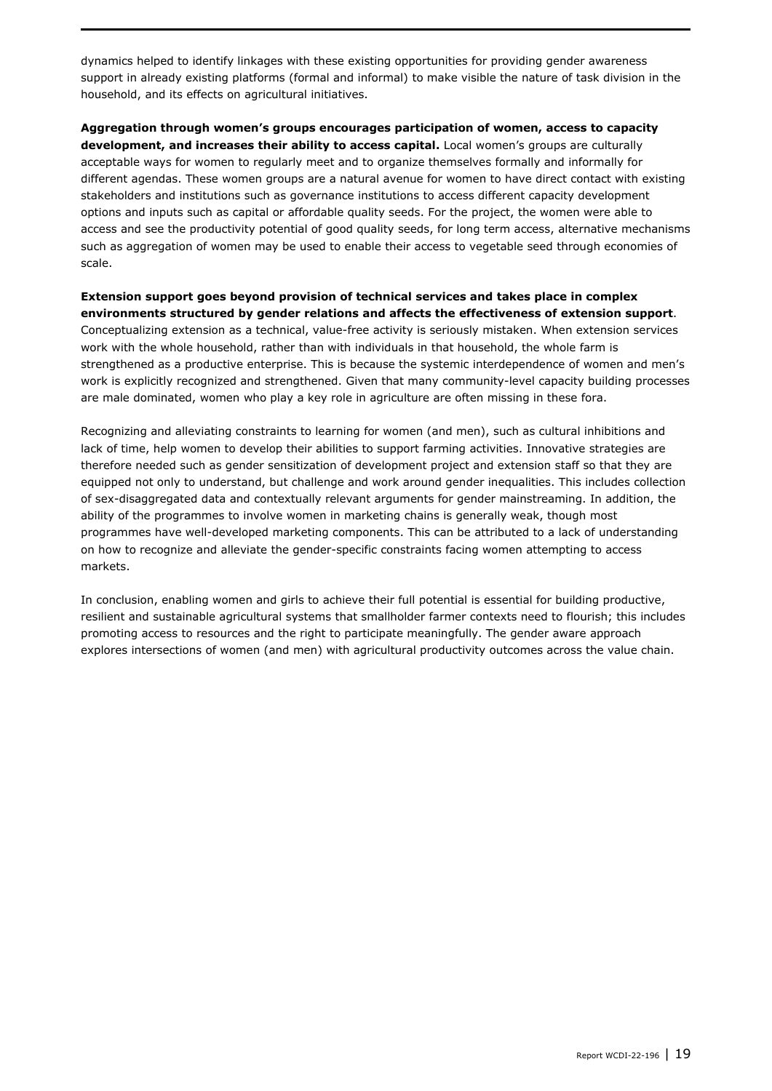dynamics helped to identify linkages with these existing opportunities for providing gender awareness support in already existing platforms (formal and informal) to make visible the nature of task division in the household, and its effects on agricultural initiatives.

**Aggregation through women's groups encourages participation of women, access to capacity development, and increases their ability to access capital.** Local women's groups are culturally acceptable ways for women to regularly meet and to organize themselves formally and informally for different agendas. These women groups are a natural avenue for women to have direct contact with existing stakeholders and institutions such as governance institutions to access different capacity development options and inputs such as capital or affordable quality seeds. For the project, the women were able to access and see the productivity potential of good quality seeds, for long term access, alternative mechanisms such as aggregation of women may be used to enable their access to vegetable seed through economies of scale.

**Extension support goes beyond provision of technical services and takes place in complex environments structured by gender relations and affects the effectiveness of extension support**. Conceptualizing extension as a technical, value-free activity is seriously mistaken. When extension services work with the whole household, rather than with individuals in that household, the whole farm is strengthened as a productive enterprise. This is because the systemic interdependence of women and men's work is explicitly recognized and strengthened. Given that many community-level capacity building processes are male dominated, women who play a key role in agriculture are often missing in these fora.

Recognizing and alleviating constraints to learning for women (and men), such as cultural inhibitions and lack of time, help women to develop their abilities to support farming activities. Innovative strategies are therefore needed such as gender sensitization of development project and extension staff so that they are equipped not only to understand, but challenge and work around gender inequalities. This includes collection of sex-disaggregated data and contextually relevant arguments for gender mainstreaming. In addition, the ability of the programmes to involve women in marketing chains is generally weak, though most programmes have well-developed marketing components. This can be attributed to a lack of understanding on how to recognize and alleviate the gender-specific constraints facing women attempting to access markets.

In conclusion, enabling women and girls to achieve their full potential is essential for building productive, resilient and sustainable agricultural systems that smallholder farmer contexts need to flourish; this includes promoting access to resources and the right to participate meaningfully. The gender aware approach explores intersections of women (and men) with agricultural productivity outcomes across the value chain.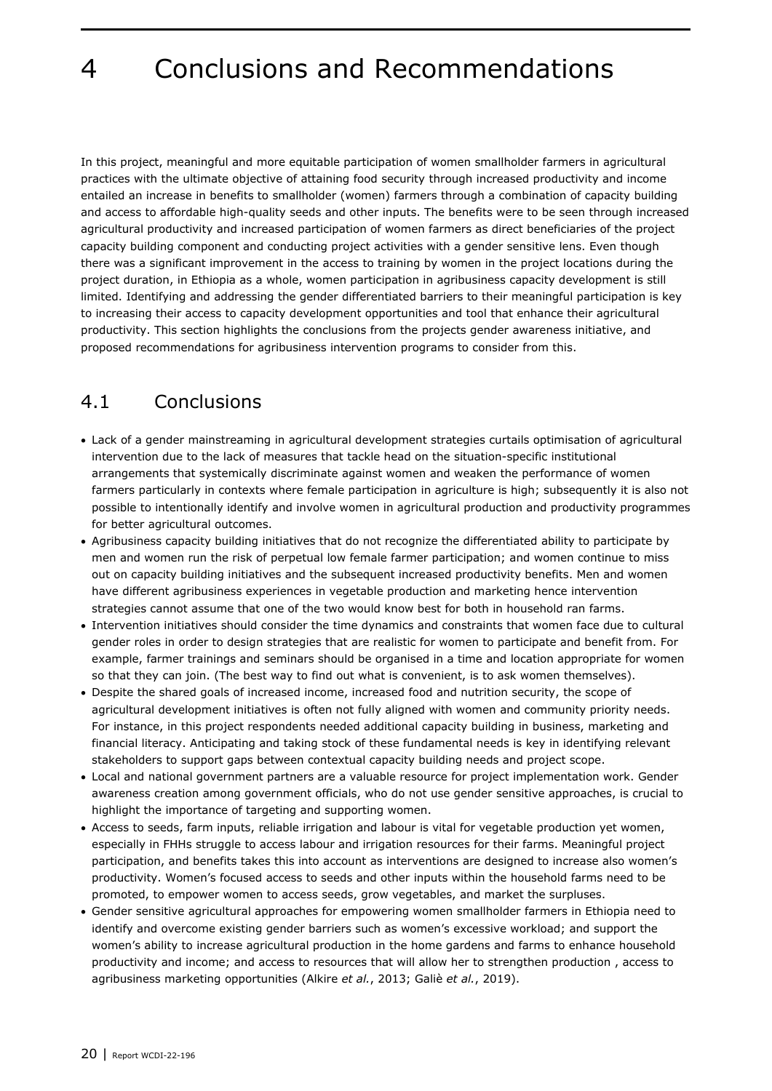## <span id="page-21-0"></span>4 Conclusions and Recommendations

In this project, meaningful and more equitable participation of women smallholder farmers in agricultural practices with the ultimate objective of attaining food security through increased productivity and income entailed an increase in benefits to smallholder (women) farmers through a combination of capacity building and access to affordable high-quality seeds and other inputs. The benefits were to be seen through increased agricultural productivity and increased participation of women farmers as direct beneficiaries of the project capacity building component and conducting project activities with a gender sensitive lens. Even though there was a significant improvement in the access to training by women in the project locations during the project duration, in Ethiopia as a whole, women participation in agribusiness capacity development is still limited. Identifying and addressing the gender differentiated barriers to their meaningful participation is key to increasing their access to capacity development opportunities and tool that enhance their agricultural productivity. This section highlights the conclusions from the projects gender awareness initiative, and proposed recommendations for agribusiness intervention programs to consider from this.

#### <span id="page-21-1"></span>4.1 Conclusions

- Lack of a gender mainstreaming in agricultural development strategies curtails optimisation of agricultural intervention due to the lack of measures that tackle head on the situation-specific institutional arrangements that systemically discriminate against women and weaken the performance of women farmers particularly in contexts where female participation in agriculture is high; subsequently it is also not possible to intentionally identify and involve women in agricultural production and productivity programmes for better agricultural outcomes.
- Agribusiness capacity building initiatives that do not recognize the differentiated ability to participate by men and women run the risk of perpetual low female farmer participation; and women continue to miss out on capacity building initiatives and the subsequent increased productivity benefits. Men and women have different agribusiness experiences in vegetable production and marketing hence intervention strategies cannot assume that one of the two would know best for both in household ran farms.
- Intervention initiatives should consider the time dynamics and constraints that women face due to cultural gender roles in order to design strategies that are realistic for women to participate and benefit from. For example, farmer trainings and seminars should be organised in a time and location appropriate for women so that they can join. (The best way to find out what is convenient, is to ask women themselves).
- Despite the shared goals of increased income, increased food and nutrition security, the scope of agricultural development initiatives is often not fully aligned with women and community priority needs. For instance, in this project respondents needed additional capacity building in business, marketing and financial literacy. Anticipating and taking stock of these fundamental needs is key in identifying relevant stakeholders to support gaps between contextual capacity building needs and project scope.
- Local and national government partners are a valuable resource for project implementation work. Gender awareness creation among government officials, who do not use gender sensitive approaches, is crucial to highlight the importance of targeting and supporting women.
- Access to seeds, farm inputs, reliable irrigation and labour is vital for vegetable production yet women, especially in FHHs struggle to access labour and irrigation resources for their farms. Meaningful project participation, and benefits takes this into account as interventions are designed to increase also women's productivity. Women's focused access to seeds and other inputs within the household farms need to be promoted, to empower women to access seeds, grow vegetables, and market the surpluses.
- Gender sensitive agricultural approaches for empowering women smallholder farmers in Ethiopia need to identify and overcome existing gender barriers such as women's excessive workload; and support the women's ability to increase agricultural production in the home gardens and farms to enhance household productivity and income; and access to resources that will allow her to strengthen production , access to agribusiness marketing opportunities (Alkire *et al.*, 2013; Galiè *et al.*, 2019).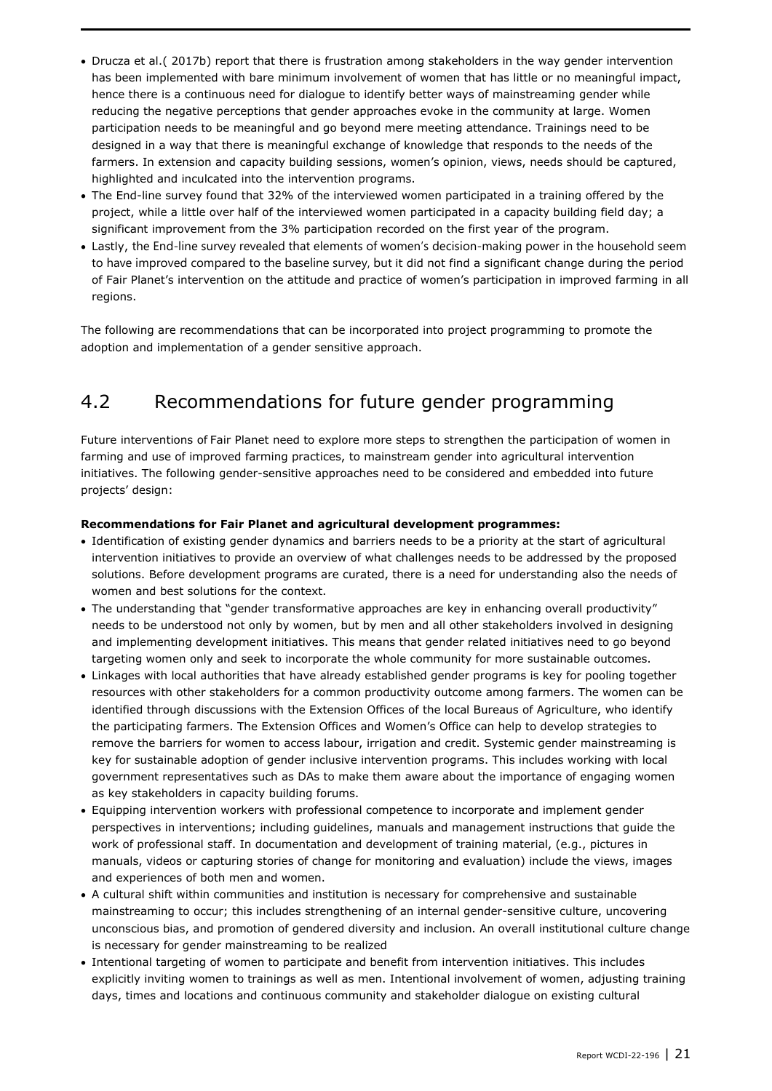- Drucza et al.( 2017b) report that there is frustration among stakeholders in the way gender intervention has been implemented with bare minimum involvement of women that has little or no meaningful impact, hence there is a continuous need for dialogue to identify better ways of mainstreaming gender while reducing the negative perceptions that gender approaches evoke in the community at large. Women participation needs to be meaningful and go beyond mere meeting attendance. Trainings need to be designed in a way that there is meaningful exchange of knowledge that responds to the needs of the farmers. In extension and capacity building sessions, women's opinion, views, needs should be captured, highlighted and inculcated into the intervention programs.
- The End-line survey found that 32% of the interviewed women participated in a training offered by the project, while a little over half of the interviewed women participated in a capacity building field day; a significant improvement from the 3% participation recorded on the first year of the program.
- Lastly, the End-line survey revealed that elements of women's decision-making power in the household seem to have improved compared to the baseline survey, but it did not find a significant change during the period of Fair Planet's intervention on the attitude and practice of women's participation in improved farming in all regions.

<span id="page-22-0"></span>The following are recommendations that can be incorporated into project programming to promote the adoption and implementation of a gender sensitive approach.

### 4.2 Recommendations for future gender programming

Future interventions of Fair Planet need to explore more steps to strengthen the participation of women in farming and use of improved farming practices, to mainstream gender into agricultural intervention initiatives. The following gender-sensitive approaches need to be considered and embedded into future projects' design:

#### **Recommendations for Fair Planet and agricultural development programmes:**

- Identification of existing gender dynamics and barriers needs to be a priority at the start of agricultural intervention initiatives to provide an overview of what challenges needs to be addressed by the proposed solutions. Before development programs are curated, there is a need for understanding also the needs of women and best solutions for the context.
- The understanding that "gender transformative approaches are key in enhancing overall productivity" needs to be understood not only by women, but by men and all other stakeholders involved in designing and implementing development initiatives. This means that gender related initiatives need to go beyond targeting women only and seek to incorporate the whole community for more sustainable outcomes.
- Linkages with local authorities that have already established gender programs is key for pooling together resources with other stakeholders for a common productivity outcome among farmers. The women can be identified through discussions with the Extension Offices of the local Bureaus of Agriculture, who identify the participating farmers. The Extension Offices and Women's Office can help to develop strategies to remove the barriers for women to access labour, irrigation and credit. Systemic gender mainstreaming is key for sustainable adoption of gender inclusive intervention programs. This includes working with local government representatives such as DAs to make them aware about the importance of engaging women as key stakeholders in capacity building forums.
- Equipping intervention workers with professional competence to incorporate and implement gender perspectives in interventions; including guidelines, manuals and management instructions that guide the work of professional staff. In documentation and development of training material, (e.g., pictures in manuals, videos or capturing stories of change for monitoring and evaluation) include the views, images and experiences of both men and women.
- A cultural shift within communities and institution is necessary for comprehensive and sustainable mainstreaming to occur; this includes strengthening of an internal gender-sensitive culture, uncovering unconscious bias, and promotion of gendered diversity and inclusion. An overall institutional culture change is necessary for gender mainstreaming to be realized
- Intentional targeting of women to participate and benefit from intervention initiatives. This includes explicitly inviting women to trainings as well as men. Intentional involvement of women, adjusting training days, times and locations and continuous community and stakeholder dialogue on existing cultural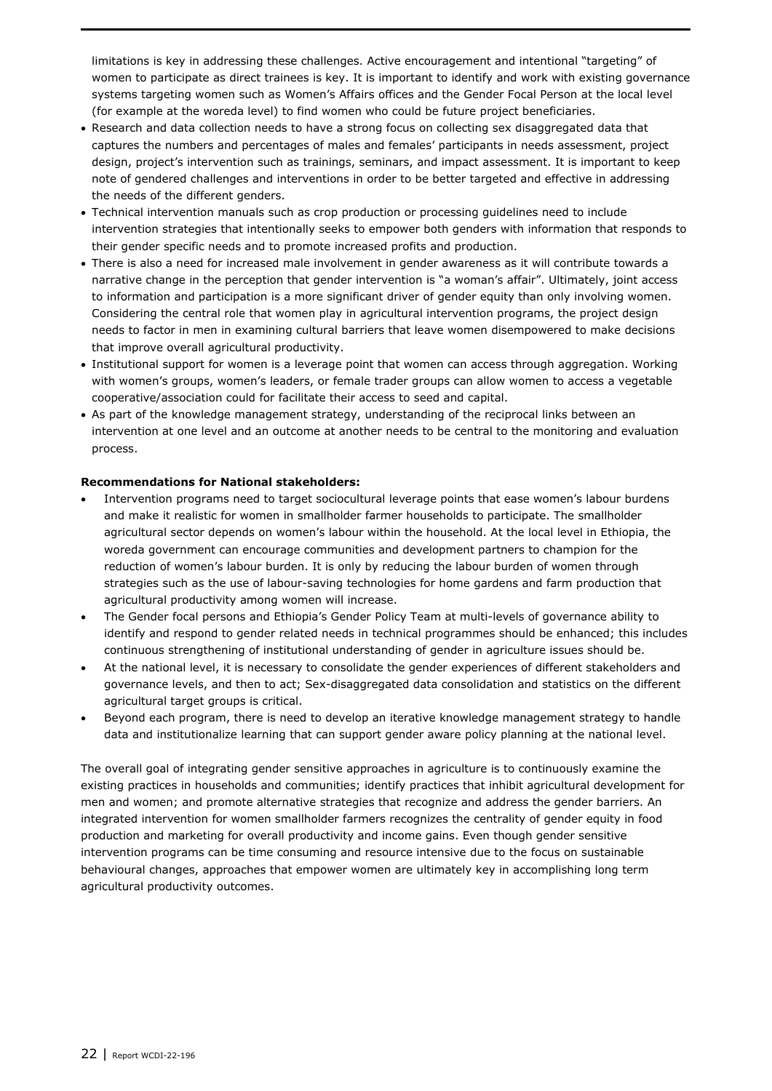limitations is key in addressing these challenges. Active encouragement and intentional "targeting" of women to participate as direct trainees is key. It is important to identify and work with existing governance systems targeting women such as Women's Affairs offices and the Gender Focal Person at the local level (for example at the woreda level) to find women who could be future project beneficiaries.

- Research and data collection needs to have a strong focus on collecting sex disaggregated data that captures the numbers and percentages of males and females' participants in needs assessment, project design, project's intervention such as trainings, seminars, and impact assessment. It is important to keep note of gendered challenges and interventions in order to be better targeted and effective in addressing the needs of the different genders.
- Technical intervention manuals such as crop production or processing guidelines need to include intervention strategies that intentionally seeks to empower both genders with information that responds to their gender specific needs and to promote increased profits and production.
- There is also a need for increased male involvement in gender awareness as it will contribute towards a narrative change in the perception that gender intervention is "a woman's affair". Ultimately, joint access to information and participation is a more significant driver of gender equity than only involving women. Considering the central role that women play in agricultural intervention programs, the project design needs to factor in men in examining cultural barriers that leave women disempowered to make decisions that improve overall agricultural productivity.
- Institutional support for women is a leverage point that women can access through aggregation. Working with women's groups, women's leaders, or female trader groups can allow women to access a vegetable cooperative/association could for facilitate their access to seed and capital.
- As part of the knowledge management strategy, understanding of the reciprocal links between an intervention at one level and an outcome at another needs to be central to the monitoring and evaluation process.

#### **Recommendations for National stakeholders:**

- Intervention programs need to target sociocultural leverage points that ease women's labour burdens and make it realistic for women in smallholder farmer households to participate. The smallholder agricultural sector depends on women's labour within the household. At the local level in Ethiopia, the woreda government can encourage communities and development partners to champion for the reduction of women's labour burden. It is only by reducing the labour burden of women through strategies such as the use of labour-saving technologies for home gardens and farm production that agricultural productivity among women will increase.
- The Gender focal persons and Ethiopia's Gender Policy Team at multi-levels of governance ability to identify and respond to gender related needs in technical programmes should be enhanced; this includes continuous strengthening of institutional understanding of gender in agriculture issues should be.
- At the national level, it is necessary to consolidate the gender experiences of different stakeholders and governance levels, and then to act; Sex-disaggregated data consolidation and statistics on the different agricultural target groups is critical.
- Beyond each program, there is need to develop an iterative knowledge management strategy to handle data and institutionalize learning that can support gender aware policy planning at the national level.

The overall goal of integrating gender sensitive approaches in agriculture is to continuously examine the existing practices in households and communities; identify practices that inhibit agricultural development for men and women; and promote alternative strategies that recognize and address the gender barriers. An integrated intervention for women smallholder farmers recognizes the centrality of gender equity in food production and marketing for overall productivity and income gains. Even though gender sensitive intervention programs can be time consuming and resource intensive due to the focus on sustainable behavioural changes, approaches that empower women are ultimately key in accomplishing long term agricultural productivity outcomes.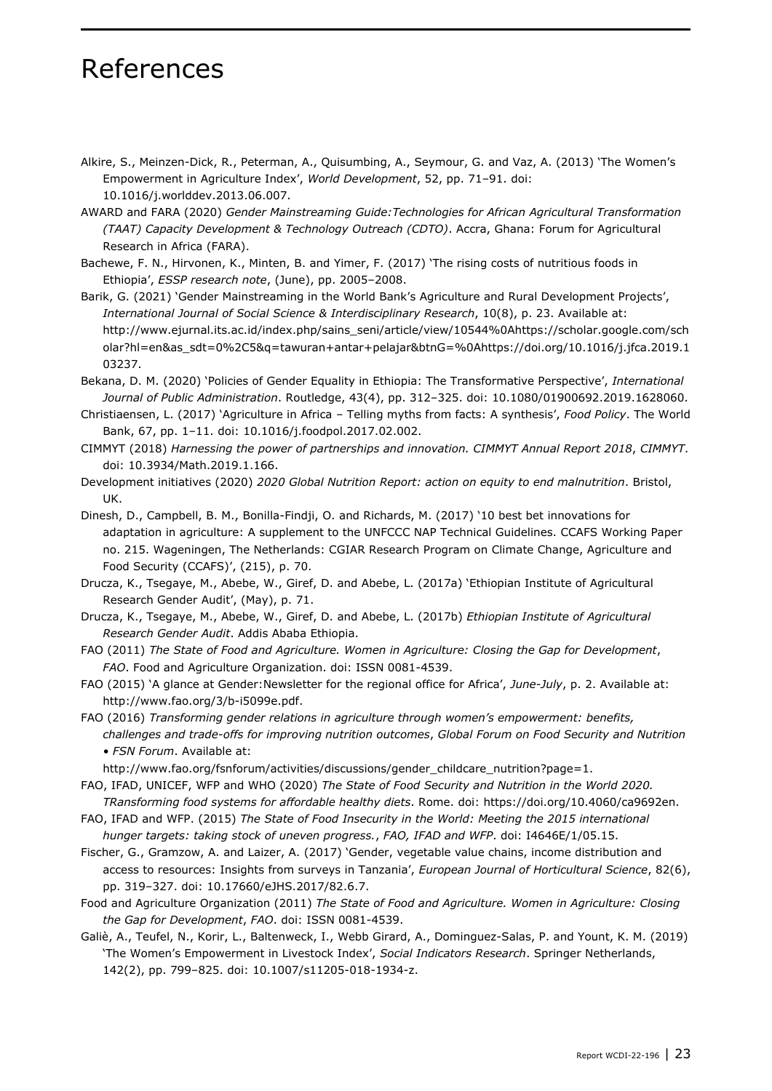### References

- Alkire, S., Meinzen-Dick, R., Peterman, A., Quisumbing, A., Seymour, G. and Vaz, A. (2013) 'The Women's Empowerment in Agriculture Index', *World Development*, 52, pp. 71–91. doi: 10.1016/j.worlddev.2013.06.007.
- AWARD and FARA (2020) *Gender Mainstreaming Guide:Technologies for African Agricultural Transformation (TAAT) Capacity Development & Technology Outreach (CDTO)*. Accra, Ghana: Forum for Agricultural Research in Africa (FARA).
- Bachewe, F. N., Hirvonen, K., Minten, B. and Yimer, F. (2017) 'The rising costs of nutritious foods in Ethiopia', *ESSP research note*, (June), pp. 2005–2008.
- Barik, G. (2021) 'Gender Mainstreaming in the World Bank's Agriculture and Rural Development Projects', *International Journal of Social Science & Interdisciplinary Research*, 10(8), p. 23. Available at: http://www.ejurnal.its.ac.id/index.php/sains\_seni/article/view/10544%0Ahttps://scholar.google.com/sch olar?hl=en&as\_sdt=0%2C5&q=tawuran+antar+pelajar&btnG=%0Ahttps://doi.org/10.1016/j.jfca.2019.1 03237.
- Bekana, D. M. (2020) 'Policies of Gender Equality in Ethiopia: The Transformative Perspective', *International Journal of Public Administration*. Routledge, 43(4), pp. 312–325. doi: 10.1080/01900692.2019.1628060.
- Christiaensen, L. (2017) 'Agriculture in Africa Telling myths from facts: A synthesis', *Food Policy*. The World Bank, 67, pp. 1–11. doi: 10.1016/j.foodpol.2017.02.002.
- CIMMYT (2018) *Harnessing the power of partnerships and innovation. CIMMYT Annual Report 2018*, *CIMMYT*. doi: 10.3934/Math.2019.1.166.
- Development initiatives (2020) *2020 Global Nutrition Report: action on equity to end malnutrition*. Bristol, UK.
- Dinesh, D., Campbell, B. M., Bonilla-Findji, O. and Richards, M. (2017) '10 best bet innovations for adaptation in agriculture: A supplement to the UNFCCC NAP Technical Guidelines. CCAFS Working Paper no. 215. Wageningen, The Netherlands: CGIAR Research Program on Climate Change, Agriculture and Food Security (CCAFS)', (215), p. 70.
- Drucza, K., Tsegaye, M., Abebe, W., Giref, D. and Abebe, L. (2017a) 'Ethiopian Institute of Agricultural Research Gender Audit', (May), p. 71.
- Drucza, K., Tsegaye, M., Abebe, W., Giref, D. and Abebe, L. (2017b) *Ethiopian Institute of Agricultural Research Gender Audit*. Addis Ababa Ethiopia.
- FAO (2011) *The State of Food and Agriculture. Women in Agriculture: Closing the Gap for Development*, *FAO*. Food and Agriculture Organization. doi: ISSN 0081-4539.
- FAO (2015) 'A glance at Gender:Newsletter for the regional office for Africa', *June-July*, p. 2. Available at: http://www.fao.org/3/b-i5099e.pdf.
- FAO (2016) *Transforming gender relations in agriculture through women's empowerment: benefits, challenges and trade-offs for improving nutrition outcomes*, *Global Forum on Food Security and Nutrition • FSN Forum*. Available at:
	- http://www.fao.org/fsnforum/activities/discussions/gender\_childcare\_nutrition?page=1.
- FAO, IFAD, UNICEF, WFP and WHO (2020) *The State of Food Security and Nutrition in the World 2020. TRansforming food systems for affordable healthy diets*. Rome. doi: https://doi.org/10.4060/ca9692en.
- FAO, IFAD and WFP. (2015) *The State of Food Insecurity in the World: Meeting the 2015 international hunger targets: taking stock of uneven progress.*, *FAO, IFAD and WFP*. doi: I4646E/1/05.15.
- Fischer, G., Gramzow, A. and Laizer, A. (2017) 'Gender, vegetable value chains, income distribution and access to resources: Insights from surveys in Tanzania', *European Journal of Horticultural Science*, 82(6), pp. 319–327. doi: 10.17660/eJHS.2017/82.6.7.
- Food and Agriculture Organization (2011) *The State of Food and Agriculture. Women in Agriculture: Closing the Gap for Development*, *FAO*. doi: ISSN 0081-4539.
- Galiè, A., Teufel, N., Korir, L., Baltenweck, I., Webb Girard, A., Dominguez-Salas, P. and Yount, K. M. (2019) 'The Women's Empowerment in Livestock Index', *Social Indicators Research*. Springer Netherlands, 142(2), pp. 799–825. doi: 10.1007/s11205-018-1934-z.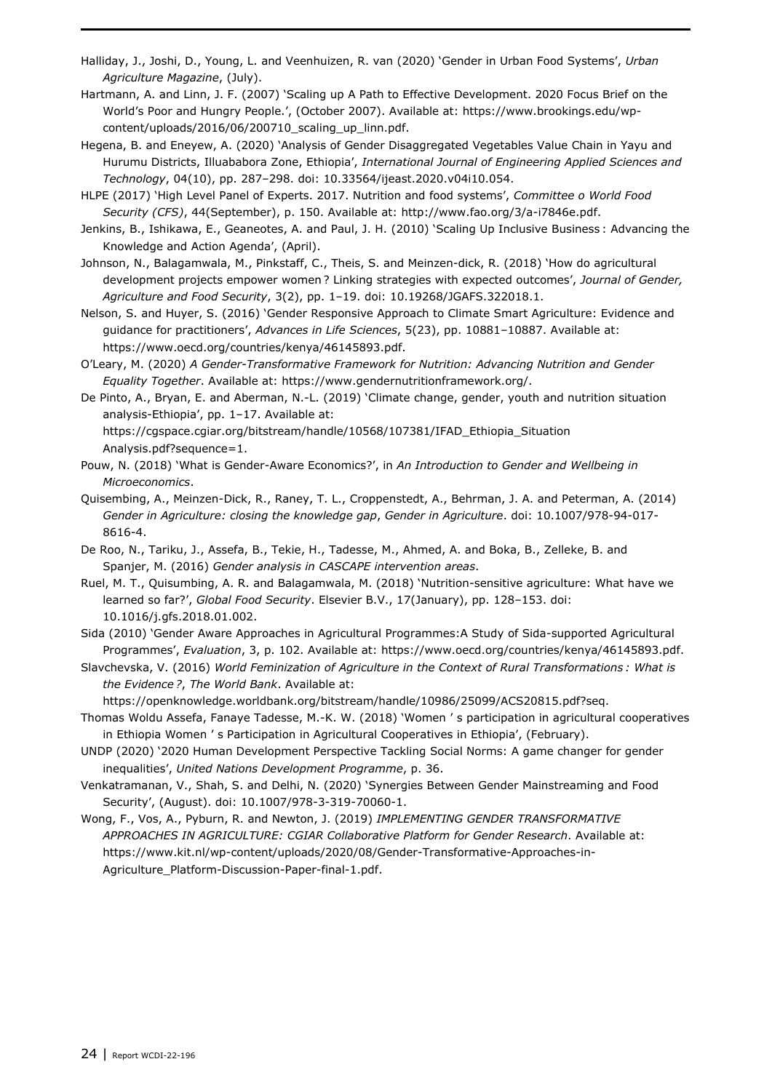- Halliday, J., Joshi, D., Young, L. and Veenhuizen, R. van (2020) 'Gender in Urban Food Systems', *Urban Agriculture Magazine*, (July).
- Hartmann, A. and Linn, J. F. (2007) 'Scaling up A Path to Effective Development. 2020 Focus Brief on the World's Poor and Hungry People.', (October 2007). Available at: https://www.brookings.edu/wpcontent/uploads/2016/06/200710\_scaling\_up\_linn.pdf.
- Hegena, B. and Eneyew, A. (2020) 'Analysis of Gender Disaggregated Vegetables Value Chain in Yayu and Hurumu Districts, Illuababora Zone, Ethiopia', *International Journal of Engineering Applied Sciences and Technology*, 04(10), pp. 287–298. doi: 10.33564/ijeast.2020.v04i10.054.
- HLPE (2017) 'High Level Panel of Experts. 2017. Nutrition and food systems', *Committee o World Food Security (CFS)*, 44(September), p. 150. Available at: http://www.fao.org/3/a-i7846e.pdf.
- Jenkins, B., Ishikawa, E., Geaneotes, A. and Paul, J. H. (2010) 'Scaling Up Inclusive Business : Advancing the Knowledge and Action Agenda', (April).
- Johnson, N., Balagamwala, M., Pinkstaff, C., Theis, S. and Meinzen-dick, R. (2018) 'How do agricultural development projects empower women ? Linking strategies with expected outcomes', *Journal of Gender, Agriculture and Food Security*, 3(2), pp. 1–19. doi: 10.19268/JGAFS.322018.1.
- Nelson, S. and Huyer, S. (2016) 'Gender Responsive Approach to Climate Smart Agriculture: Evidence and guidance for practitioners', *Advances in Life Sciences*, 5(23), pp. 10881–10887. Available at: https://www.oecd.org/countries/kenya/46145893.pdf.
- O'Leary, M. (2020) *A Gender-Transformative Framework for Nutrition: Advancing Nutrition and Gender Equality Together*. Available at: https://www.gendernutritionframework.org/.
- De Pinto, A., Bryan, E. and Aberman, N.-L. (2019) 'Climate change, gender, youth and nutrition situation analysis-Ethiopia', pp. 1–17. Available at:

https://cgspace.cgiar.org/bitstream/handle/10568/107381/IFAD\_Ethiopia\_Situation Analysis.pdf?sequence=1.

- Pouw, N. (2018) 'What is Gender-Aware Economics?', in *An Introduction to Gender and Wellbeing in Microeconomics*.
- Quisembing, A., Meinzen-Dick, R., Raney, T. L., Croppenstedt, A., Behrman, J. A. and Peterman, A. (2014) *Gender in Agriculture: closing the knowledge gap*, *Gender in Agriculture*. doi: 10.1007/978-94-017- 8616-4.
- De Roo, N., Tariku, J., Assefa, B., Tekie, H., Tadesse, M., Ahmed, A. and Boka, B., Zelleke, B. and Spanjer, M. (2016) *Gender analysis in CASCAPE intervention areas*.
- Ruel, M. T., Quisumbing, A. R. and Balagamwala, M. (2018) 'Nutrition-sensitive agriculture: What have we learned so far?', *Global Food Security*. Elsevier B.V., 17(January), pp. 128–153. doi: 10.1016/j.gfs.2018.01.002.
- Sida (2010) 'Gender Aware Approaches in Agricultural Programmes:A Study of Sida-supported Agricultural Programmes', *Evaluation*, 3, p. 102. Available at: https://www.oecd.org/countries/kenya/46145893.pdf.
- Slavchevska, V. (2016) *World Feminization of Agriculture in the Context of Rural Transformations : What is the Evidence ?*, *The World Bank*. Available at:
	- https://openknowledge.worldbank.org/bitstream/handle/10986/25099/ACS20815.pdf?seq.
- Thomas Woldu Assefa, Fanaye Tadesse, M.-K. W. (2018) 'Women ' s participation in agricultural cooperatives in Ethiopia Women ' s Participation in Agricultural Cooperatives in Ethiopia', (February).
- UNDP (2020) '2020 Human Development Perspective Tackling Social Norms: A game changer for gender inequalities', *United Nations Development Programme*, p. 36.
- Venkatramanan, V., Shah, S. and Delhi, N. (2020) 'Synergies Between Gender Mainstreaming and Food Security', (August). doi: 10.1007/978-3-319-70060-1.
- Wong, F., Vos, A., Pyburn, R. and Newton, J. (2019) *IMPLEMENTING GENDER TRANSFORMATIVE APPROACHES IN AGRICULTURE: CGIAR Collaborative Platform for Gender Research*. Available at: https://www.kit.nl/wp-content/uploads/2020/08/Gender-Transformative-Approaches-in-Agriculture\_Platform-Discussion-Paper-final-1.pdf.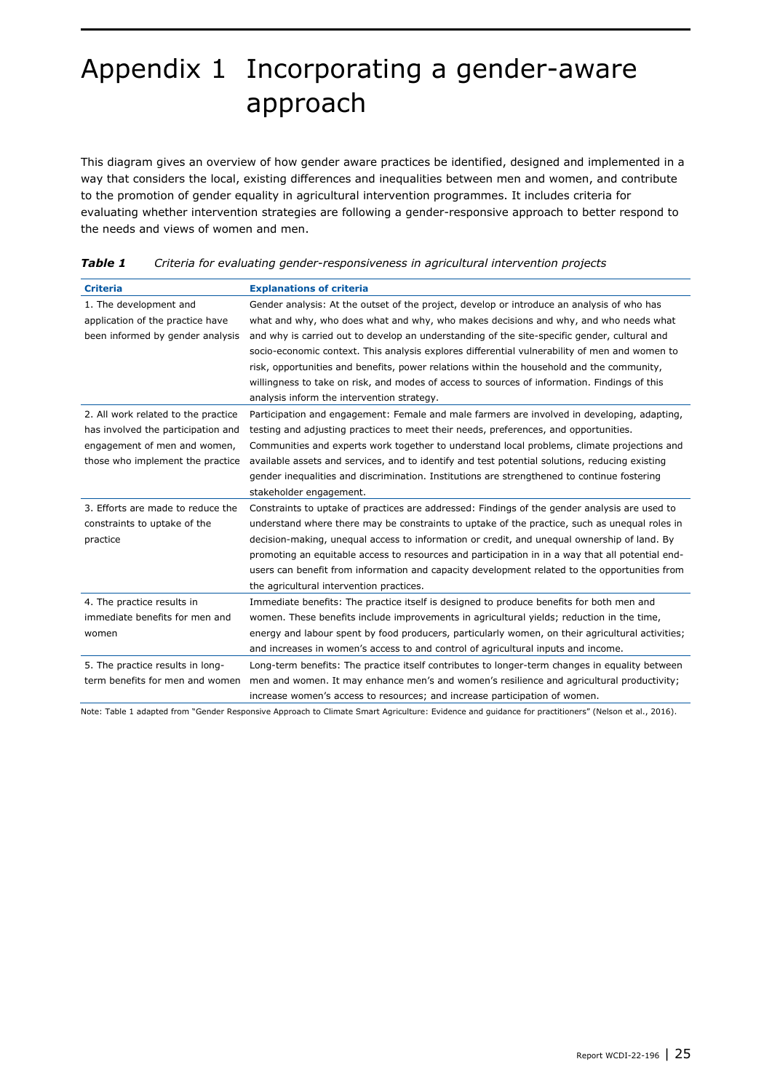## Appendix 1 Incorporating a gender-aware approach

This diagram gives an overview of how gender aware practices be identified, designed and implemented in a way that considers the local, existing differences and inequalities between men and women, and contribute to the promotion of gender equality in agricultural intervention programmes. It includes criteria for evaluating whether intervention strategies are following a gender-responsive approach to better respond to the needs and views of women and men.

| <b>Criteria</b>                     | <b>Explanations of criteria</b>                                                                  |
|-------------------------------------|--------------------------------------------------------------------------------------------------|
| 1. The development and              | Gender analysis: At the outset of the project, develop or introduce an analysis of who has       |
| application of the practice have    | what and why, who does what and why, who makes decisions and why, and who needs what             |
| been informed by gender analysis    | and why is carried out to develop an understanding of the site-specific gender, cultural and     |
|                                     | socio-economic context. This analysis explores differential vulnerability of men and women to    |
|                                     | risk, opportunities and benefits, power relations within the household and the community,        |
|                                     | willingness to take on risk, and modes of access to sources of information. Findings of this     |
|                                     | analysis inform the intervention strategy.                                                       |
| 2. All work related to the practice | Participation and engagement: Female and male farmers are involved in developing, adapting,      |
| has involved the participation and  | testing and adjusting practices to meet their needs, preferences, and opportunities.             |
| engagement of men and women,        | Communities and experts work together to understand local problems, climate projections and      |
| those who implement the practice    | available assets and services, and to identify and test potential solutions, reducing existing   |
|                                     | gender inequalities and discrimination. Institutions are strengthened to continue fostering      |
|                                     | stakeholder engagement.                                                                          |
| 3. Efforts are made to reduce the   | Constraints to uptake of practices are addressed: Findings of the gender analysis are used to    |
| constraints to uptake of the        | understand where there may be constraints to uptake of the practice, such as unequal roles in    |
| practice                            | decision-making, unequal access to information or credit, and unequal ownership of land. By      |
|                                     | promoting an equitable access to resources and participation in in a way that all potential end- |
|                                     | users can benefit from information and capacity development related to the opportunities from    |
|                                     | the agricultural intervention practices.                                                         |
| 4. The practice results in          | Immediate benefits: The practice itself is designed to produce benefits for both men and         |
| immediate benefits for men and      | women. These benefits include improvements in agricultural yields; reduction in the time,        |
| women                               | energy and labour spent by food producers, particularly women, on their agricultural activities; |
|                                     | and increases in women's access to and control of agricultural inputs and income.                |
| 5. The practice results in long-    | Long-term benefits: The practice itself contributes to longer-term changes in equality between   |
| term benefits for men and women     | men and women. It may enhance men's and women's resilience and agricultural productivity;        |
|                                     | increase women's access to resources; and increase participation of women.                       |

#### *Table 1 Criteria for evaluating gender-responsiveness in agricultural intervention projects*

Note: Table 1 adapted from "Gender Responsive Approach to Climate Smart Agriculture: Evidence and guidance for practitioners" (Nelson et al., 2016).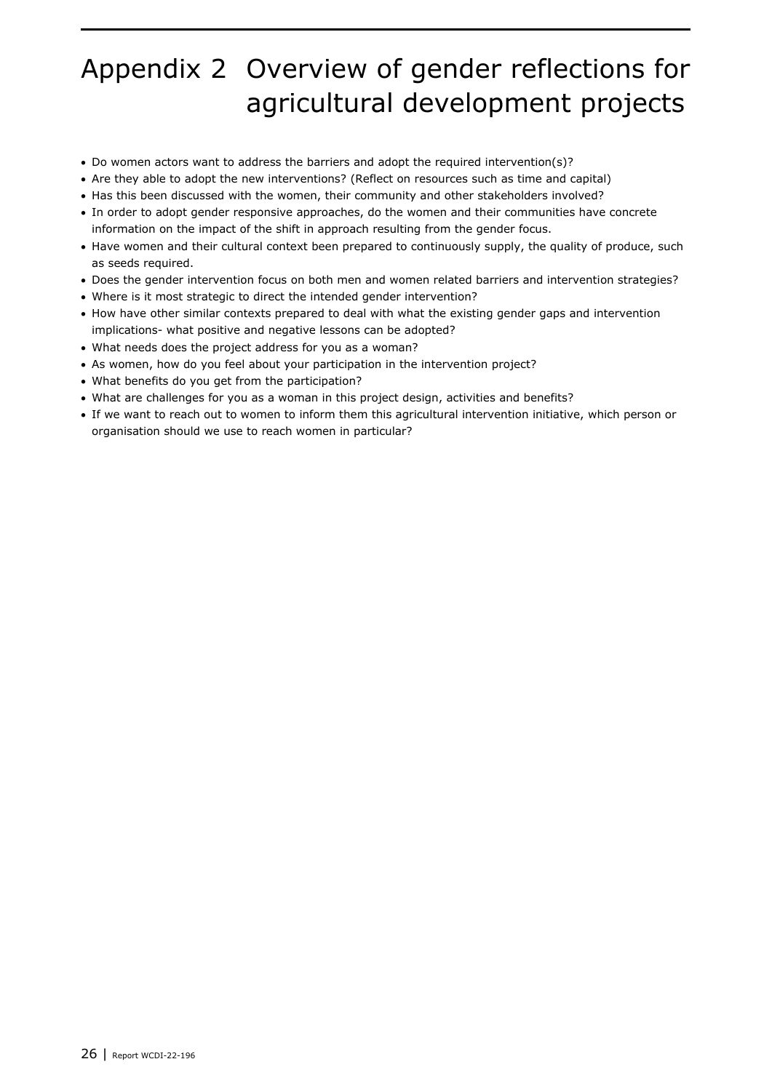## Appendix 2 Overview of gender reflections for agricultural development projects

- Do women actors want to address the barriers and adopt the required intervention(s)?
- Are they able to adopt the new interventions? (Reflect on resources such as time and capital)
- Has this been discussed with the women, their community and other stakeholders involved?
- In order to adopt gender responsive approaches, do the women and their communities have concrete information on the impact of the shift in approach resulting from the gender focus.
- Have women and their cultural context been prepared to continuously supply, the quality of produce, such as seeds required.
- Does the gender intervention focus on both men and women related barriers and intervention strategies?
- Where is it most strategic to direct the intended gender intervention?
- How have other similar contexts prepared to deal with what the existing gender gaps and intervention implications- what positive and negative lessons can be adopted?
- What needs does the project address for you as a woman?
- As women, how do you feel about your participation in the intervention project?
- What benefits do you get from the participation?
- What are challenges for you as a woman in this project design, activities and benefits?
- If we want to reach out to women to inform them this agricultural intervention initiative, which person or organisation should we use to reach women in particular?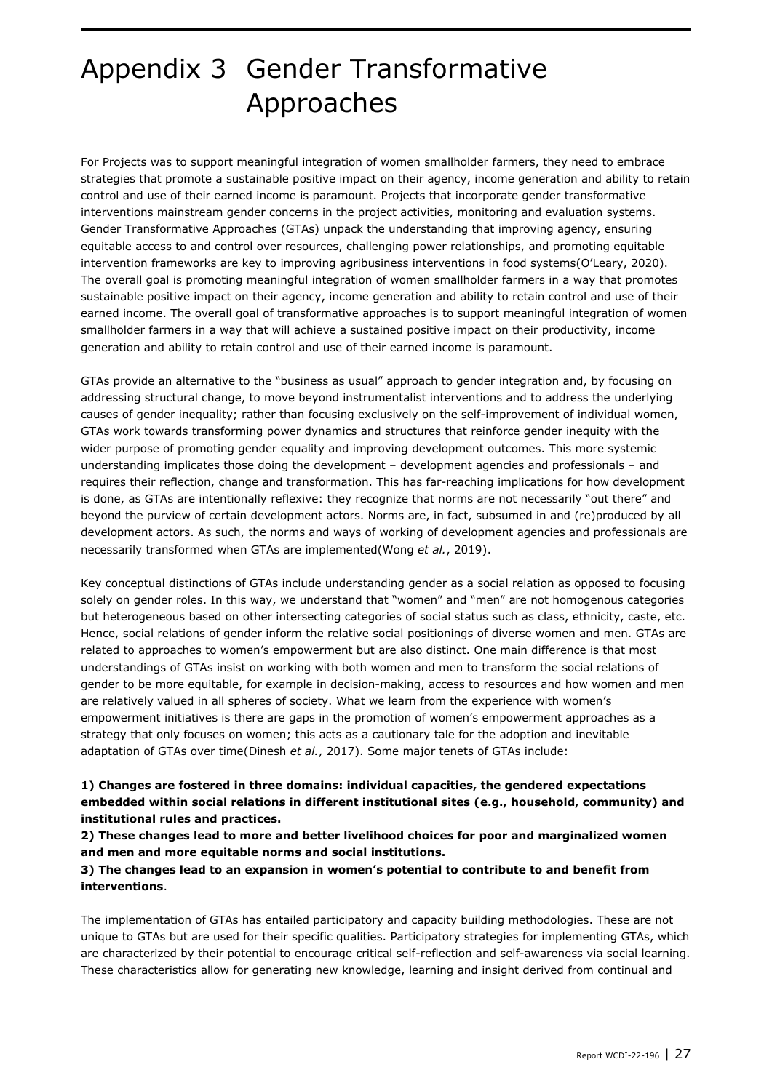### Appendix 3 Gender Transformative Approaches

For Projects was to support meaningful integration of women smallholder farmers, they need to embrace strategies that promote a sustainable positive impact on their agency, income generation and ability to retain control and use of their earned income is paramount. Projects that incorporate gender transformative interventions mainstream gender concerns in the project activities, monitoring and evaluation systems. Gender Transformative Approaches (GTAs) unpack the understanding that improving agency, ensuring equitable access to and control over resources, challenging power relationships, and promoting equitable intervention frameworks are key to improving agribusiness interventions in food systems(O'Leary, 2020). The overall goal is promoting meaningful integration of women smallholder farmers in a way that promotes sustainable positive impact on their agency, income generation and ability to retain control and use of their earned income. The overall goal of transformative approaches is to support meaningful integration of women smallholder farmers in a way that will achieve a sustained positive impact on their productivity, income generation and ability to retain control and use of their earned income is paramount.

GTAs provide an alternative to the "business as usual" approach to gender integration and, by focusing on addressing structural change, to move beyond instrumentalist interventions and to address the underlying causes of gender inequality; rather than focusing exclusively on the self-improvement of individual women, GTAs work towards transforming power dynamics and structures that reinforce gender inequity with the wider purpose of promoting gender equality and improving development outcomes. This more systemic understanding implicates those doing the development – development agencies and professionals – and requires their reflection, change and transformation. This has far-reaching implications for how development is done, as GTAs are intentionally reflexive: they recognize that norms are not necessarily "out there" and beyond the purview of certain development actors. Norms are, in fact, subsumed in and (re)produced by all development actors. As such, the norms and ways of working of development agencies and professionals are necessarily transformed when GTAs are implemented(Wong *et al.*, 2019).

Key conceptual distinctions of GTAs include understanding gender as a social relation as opposed to focusing solely on gender roles. In this way, we understand that "women" and "men" are not homogenous categories but heterogeneous based on other intersecting categories of social status such as class, ethnicity, caste, etc. Hence, social relations of gender inform the relative social positionings of diverse women and men. GTAs are related to approaches to women's empowerment but are also distinct. One main difference is that most understandings of GTAs insist on working with both women and men to transform the social relations of gender to be more equitable, for example in decision-making, access to resources and how women and men are relatively valued in all spheres of society. What we learn from the experience with women's empowerment initiatives is there are gaps in the promotion of women's empowerment approaches as a strategy that only focuses on women; this acts as a cautionary tale for the adoption and inevitable adaptation of GTAs over time(Dinesh *et al.*, 2017). Some major tenets of GTAs include:

#### **1) Changes are fostered in three domains: individual capacities, the gendered expectations embedded within social relations in different institutional sites (e.g., household, community) and institutional rules and practices.**

**2) These changes lead to more and better livelihood choices for poor and marginalized women and men and more equitable norms and social institutions.**

#### **3) The changes lead to an expansion in women's potential to contribute to and benefit from interventions**.

The implementation of GTAs has entailed participatory and capacity building methodologies. These are not unique to GTAs but are used for their specific qualities. Participatory strategies for implementing GTAs, which are characterized by their potential to encourage critical self-reflection and self-awareness via social learning. These characteristics allow for generating new knowledge, learning and insight derived from continual and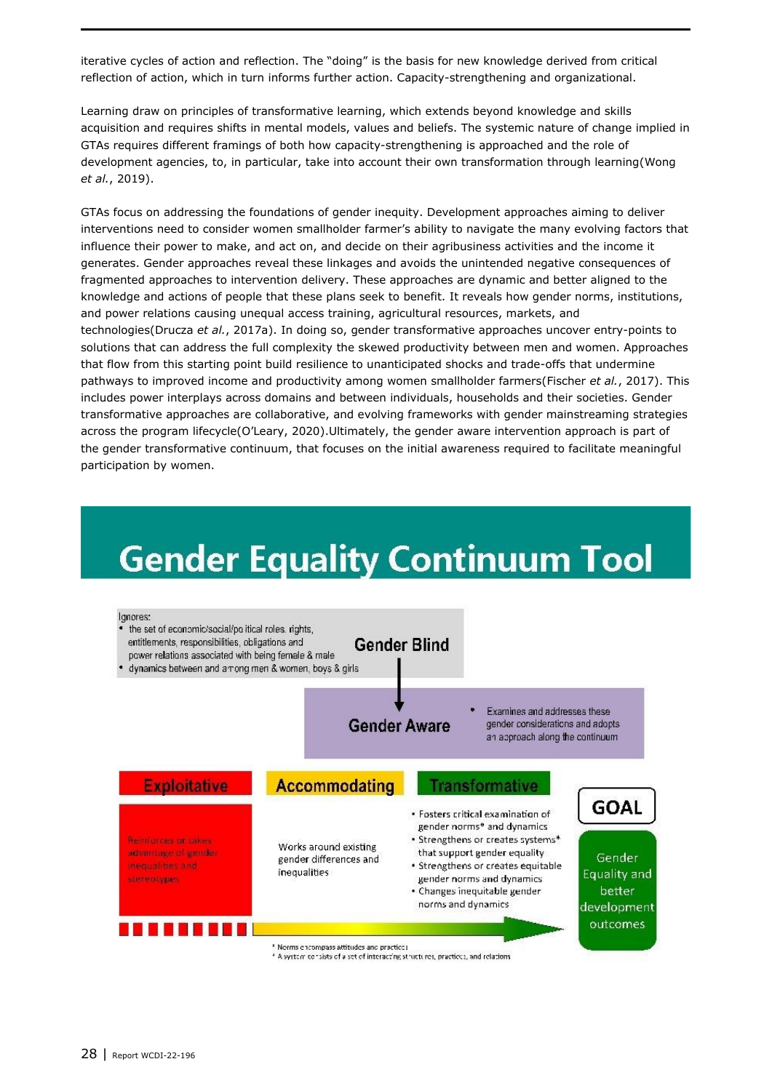iterative cycles of action and reflection. The "doing" is the basis for new knowledge derived from critical reflection of action, which in turn informs further action. Capacity-strengthening and organizational.

Learning draw on principles of transformative learning, which extends beyond knowledge and skills acquisition and requires shifts in mental models, values and beliefs. The systemic nature of change implied in GTAs requires different framings of both how capacity-strengthening is approached and the role of development agencies, to, in particular, take into account their own transformation through learning(Wong *et al.*, 2019).

GTAs focus on addressing the foundations of gender inequity. Development approaches aiming to deliver interventions need to consider women smallholder farmer's ability to navigate the many evolving factors that influence their power to make, and act on, and decide on their agribusiness activities and the income it generates. Gender approaches reveal these linkages and avoids the unintended negative consequences of fragmented approaches to intervention delivery. These approaches are dynamic and better aligned to the knowledge and actions of people that these plans seek to benefit. It reveals how gender norms, institutions, and power relations causing unequal access training, agricultural resources, markets, and technologies(Drucza *et al.*, 2017a). In doing so, gender transformative approaches uncover entry-points to solutions that can address the full complexity the skewed productivity between men and women. Approaches that flow from this starting point build resilience to unanticipated shocks and trade-offs that undermine pathways to improved income and productivity among women smallholder farmers(Fischer *et al.*, 2017). This includes power interplays across domains and between individuals, households and their societies. Gender transformative approaches are collaborative, and evolving frameworks with gender mainstreaming strategies across the program lifecycle(O'Leary, 2020).Ultimately, the gender aware intervention approach is part of the gender transformative continuum, that focuses on the initial awareness required to facilitate meaningful participation by women.

# **Gender Equality Continuum Tool**

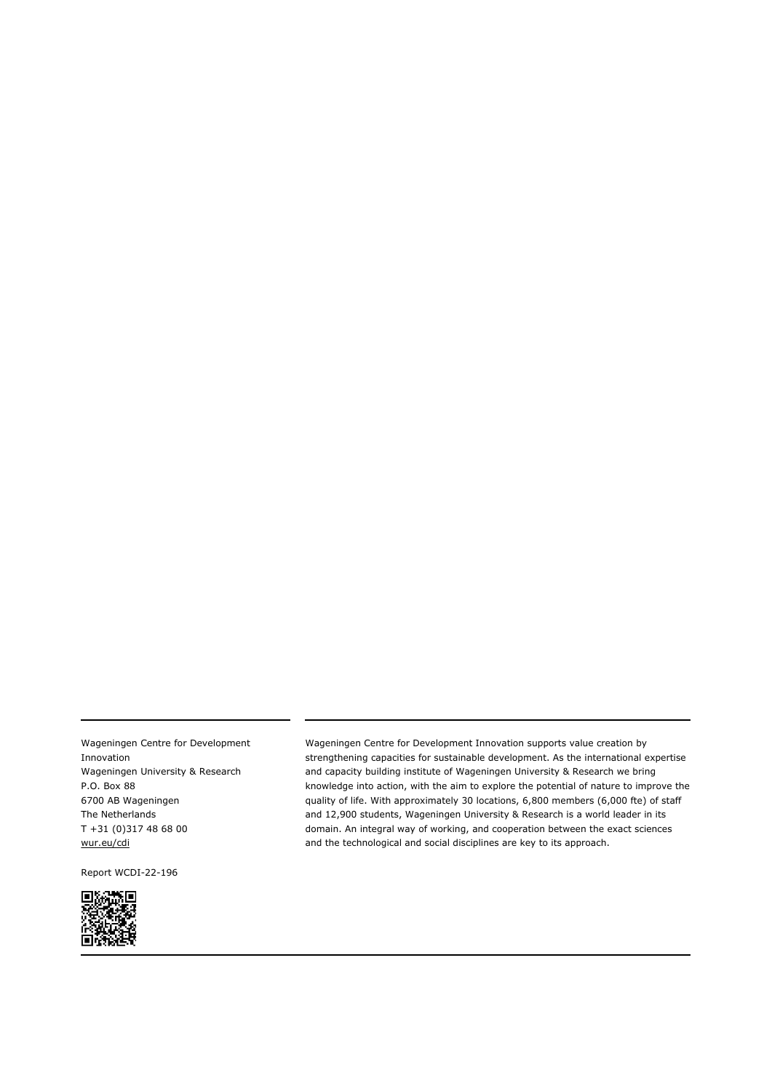Wageningen Centre for Development Innovation Wageningen University & Research P.O. Box 88 6700 AB Wageningen The Netherlands T +31 (0)317 48 68 00 [wur.eu/cdi](http://www.wur.eu/cdi)

Report WCDI-22-196



Wageningen Centre for Development Innovation supports value creation by strengthening capacities for sustainable development. As the international expertise and capacity building institute of Wageningen University & Research we bring knowledge into action, with the aim to explore the potential of nature to improve the quality of life. With approximately 30 locations, 6,800 members (6,000 fte) of staff and 12,900 students, Wageningen University & Research is a world leader in its domain. An integral way of working, and cooperation between the exact sciences and the technological and social disciplines are key to its approach.